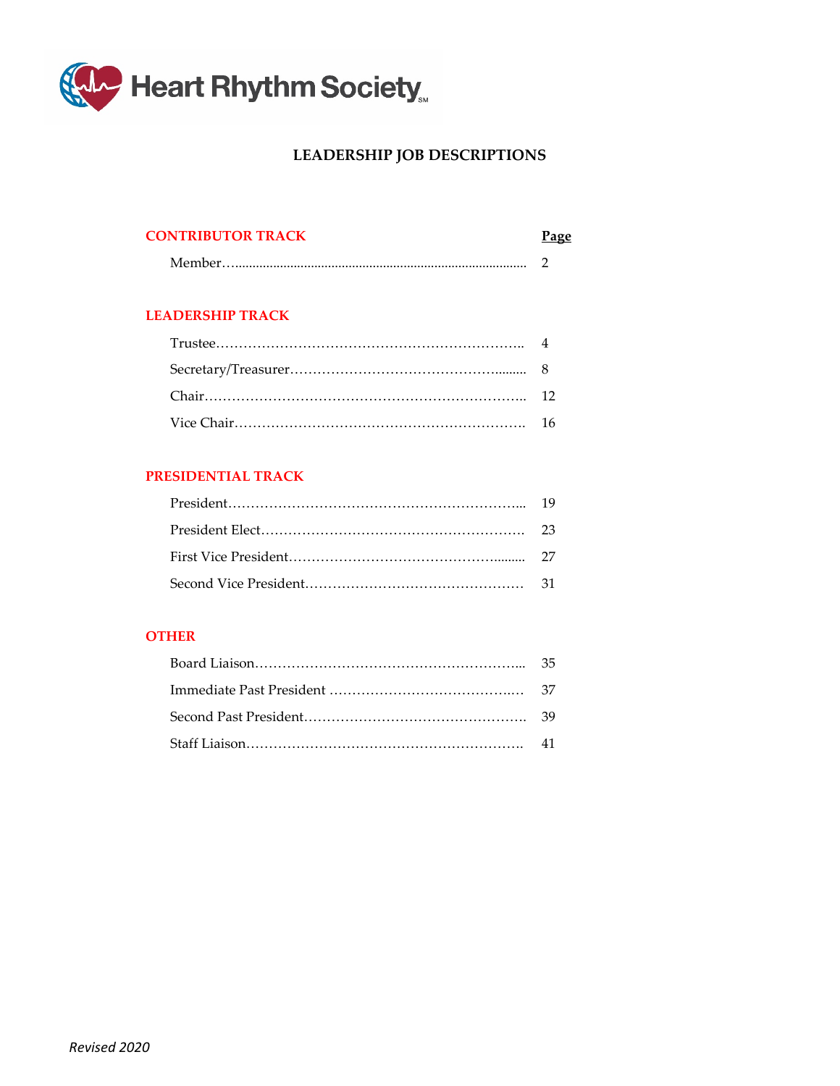

# **LEADERSHIP JOB DESCRIPTIONS**

#### **CONTRIBUTOR TRACK**

|--|

#### **LEADERSHIP TRACK**

#### **PRESIDENTIAL TRACK**

#### **OTHER**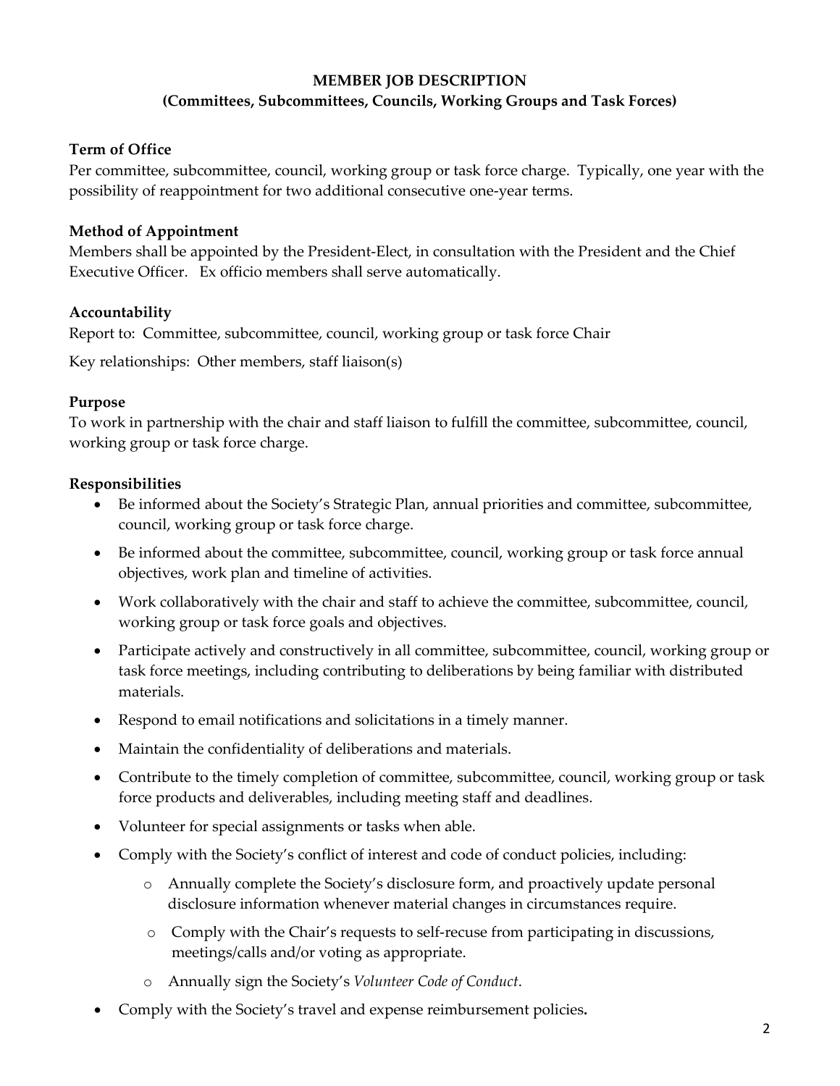# **MEMBER JOB DESCRIPTION (Committees, Subcommittees, Councils, Working Groups and Task Forces)**

# **Term of Office**

Per committee, subcommittee, council, working group or task force charge. Typically, one year with the possibility of reappointment for two additional consecutive one-year terms.

# **Method of Appointment**

Members shall be appointed by the President-Elect, in consultation with the President and the Chief Executive Officer. Ex officio members shall serve automatically.

# **Accountability**

Report to: Committee, subcommittee, council, working group or task force Chair

Key relationships: Other members, staff liaison(s)

## **Purpose**

To work in partnership with the chair and staff liaison to fulfill the committee, subcommittee, council, working group or task force charge.

# **Responsibilities**

- Be informed about the Society's Strategic Plan, annual priorities and committee, subcommittee, council, working group or task force charge.
- Be informed about the committee, subcommittee, council, working group or task force annual objectives, work plan and timeline of activities.
- Work collaboratively with the chair and staff to achieve the committee, subcommittee, council, working group or task force goals and objectives.
- Participate actively and constructively in all committee, subcommittee, council, working group or task force meetings, including contributing to deliberations by being familiar with distributed materials.
- Respond to email notifications and solicitations in a timely manner.
- Maintain the confidentiality of deliberations and materials.
- Contribute to the timely completion of committee, subcommittee, council, working group or task force products and deliverables, including meeting staff and deadlines.
- Volunteer for special assignments or tasks when able.
- Comply with the Society's conflict of interest and code of conduct policies, including:
	- o Annually complete the Society's disclosure form, and proactively update personal disclosure information whenever material changes in circumstances require.
	- o Comply with the Chair's requests to self-recuse from participating in discussions, meetings/calls and/or voting as appropriate.
	- o Annually sign the Society's *Volunteer Code of Conduct*.
- Comply with the Society's travel and expense reimbursement policies**.**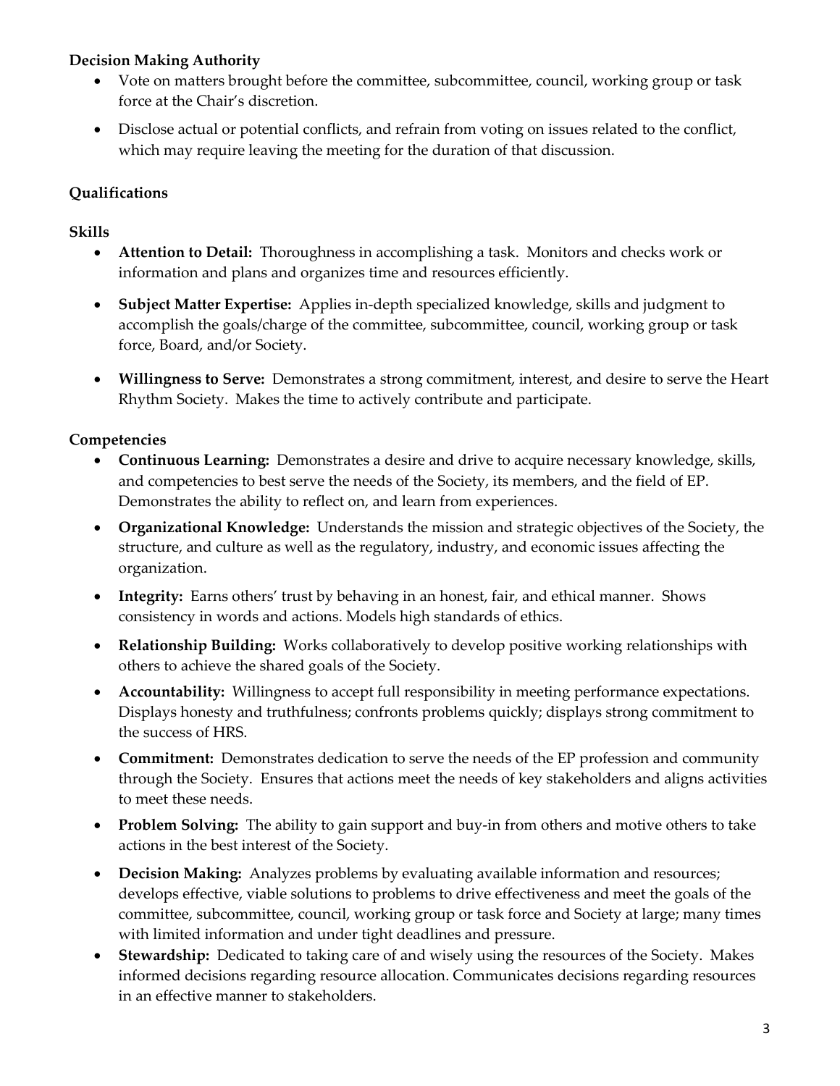# **Decision Making Authority**

- Vote on matters brought before the committee, subcommittee, council, working group or task force at the Chair's discretion.
- Disclose actual or potential conflicts, and refrain from voting on issues related to the conflict, which may require leaving the meeting for the duration of that discussion.

# **Qualifications**

## **Skills**

- **Attention to Detail:** Thoroughness in accomplishing a task. Monitors and checks work or information and plans and organizes time and resources efficiently.
- **Subject Matter Expertise:** Applies in-depth specialized knowledge, skills and judgment to accomplish the goals/charge of the committee, subcommittee, council, working group or task force, Board, and/or Society.
- **Willingness to Serve:** Demonstrates a strong commitment, interest, and desire to serve the Heart Rhythm Society. Makes the time to actively contribute and participate.

- **Continuous Learning:** Demonstrates a desire and drive to acquire necessary knowledge, skills, and competencies to best serve the needs of the Society, its members, and the field of EP. Demonstrates the ability to reflect on, and learn from experiences.
- **Organizational Knowledge:** Understands the mission and strategic objectives of the Society, the structure, and culture as well as the regulatory, industry, and economic issues affecting the organization.
- **Integrity:** Earns others' trust by behaving in an honest, fair, and ethical manner. Shows consistency in words and actions. Models high standards of ethics.
- **Relationship Building:** Works collaboratively to develop positive working relationships with others to achieve the shared goals of the Society.
- **Accountability:** Willingness to accept full responsibility in meeting performance expectations. Displays honesty and truthfulness; confronts problems quickly; displays strong commitment to the success of HRS.
- **Commitment:** Demonstrates dedication to serve the needs of the EP profession and community through the Society. Ensures that actions meet the needs of key stakeholders and aligns activities to meet these needs.
- **Problem Solving:** The ability to gain support and buy-in from others and motive others to take actions in the best interest of the Society.
- **Decision Making:** Analyzes problems by evaluating available information and resources; develops effective, viable solutions to problems to drive effectiveness and meet the goals of the committee, subcommittee, council, working group or task force and Society at large; many times with limited information and under tight deadlines and pressure.
- **Stewardship:** Dedicated to taking care of and wisely using the resources of the Society. Makes informed decisions regarding resource allocation. Communicates decisions regarding resources in an effective manner to stakeholders.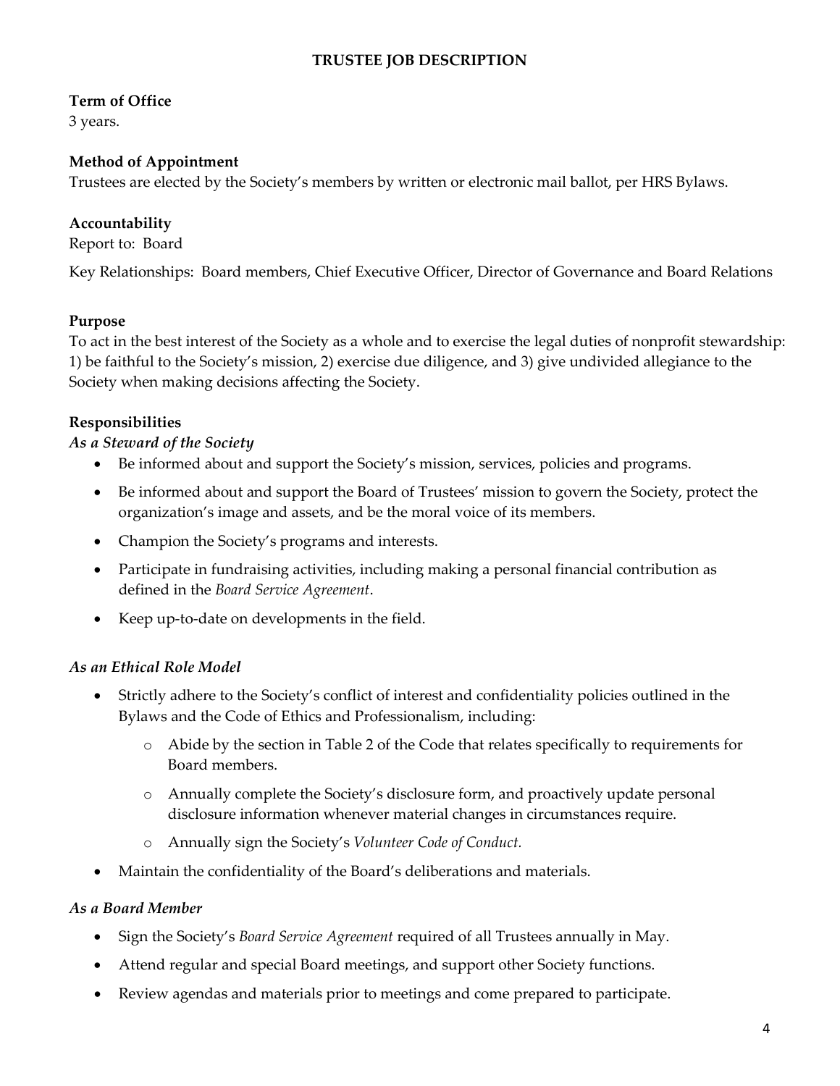# **TRUSTEE JOB DESCRIPTION**

# **Term of Office**

3 years.

# **Method of Appointment**

Trustees are elected by the Society's members by written or electronic mail ballot, per HRS Bylaws.

# **Accountability**

Report to: Board

Key Relationships: Board members, Chief Executive Officer, Director of Governance and Board Relations

## **Purpose**

To act in the best interest of the Society as a whole and to exercise the legal duties of nonprofit stewardship: 1) be faithful to the Society's mission, 2) exercise due diligence, and 3) give undivided allegiance to the Society when making decisions affecting the Society.

## **Responsibilities**

## *As a Steward of the Society*

- Be informed about and support the Society's mission, services, policies and programs.
- Be informed about and support the Board of Trustees' mission to govern the Society, protect the organization's image and assets, and be the moral voice of its members.
- Champion the Society's programs and interests.
- Participate in fundraising activities, including making a personal financial contribution as defined in the *Board Service Agreement*.
- Keep up-to-date on developments in the field.

## *As an Ethical Role Model*

- Strictly adhere to the Society's conflict of interest and confidentiality policies outlined in the Bylaws and the Code of Ethics and Professionalism, including:
	- o Abide by the section in Table 2 of the Code that relates specifically to requirements for Board members.
	- o Annually complete the Society's disclosure form, and proactively update personal disclosure information whenever material changes in circumstances require.
	- o Annually sign the Society's *Volunteer Code of Conduct.*
- Maintain the confidentiality of the Board's deliberations and materials.

#### *As a Board Member*

- Sign the Society's *Board Service Agreement* required of all Trustees annually in May.
- Attend regular and special Board meetings, and support other Society functions.
- Review agendas and materials prior to meetings and come prepared to participate.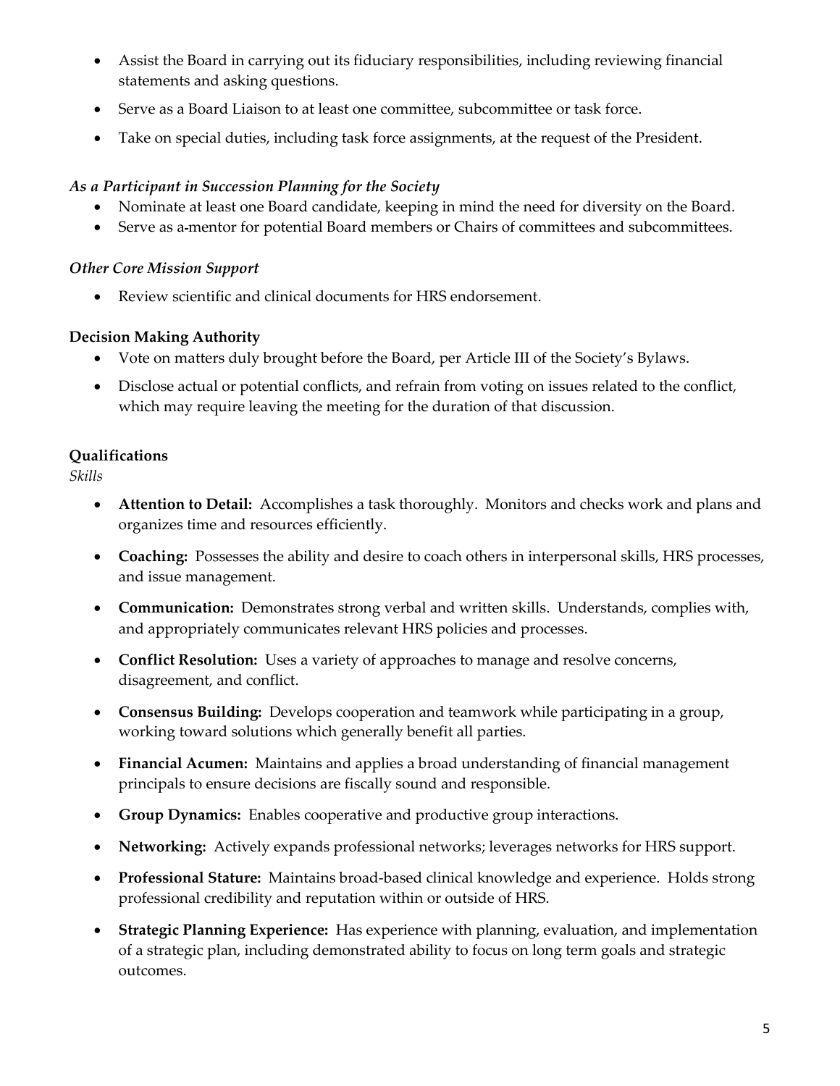- Assist the Board in carrying out its fiduciary responsibilities, including reviewing financial statements and asking questions.
- Serve as a Board Liaison to at least one committee, subcommittee or task force.
- Take on special duties, including task force assignments, at the request of the President.

# *As a Participant in Succession Planning for the Society*

- Nominate at least one Board candidate, keeping in mind the need for diversity on the Board.
- Serve as a-mentor for potential Board members or Chairs of committees and subcommittees.

# *Other Core Mission Support*

• Review scientific and clinical documents for HRS endorsement.

# **Decision Making Authority**

- Vote on matters duly brought before the Board, per Article III of the Society's Bylaws.
- Disclose actual or potential conflicts, and refrain from voting on issues related to the conflict, which may require leaving the meeting for the duration of that discussion.

# **Qualifications**

*Skills*

- **Attention to Detail:** Accomplishes a task thoroughly. Monitors and checks work and plans and organizes time and resources efficiently.
- **Coaching:** Possesses the ability and desire to coach others in interpersonal skills, HRS processes, and issue management.
- **Communication:** Demonstrates strong verbal and written skills. Understands, complies with, and appropriately communicates relevant HRS policies and processes.
- **Conflict Resolution:** Uses a variety of approaches to manage and resolve concerns, disagreement, and conflict.
- **Consensus Building:** Develops cooperation and teamwork while participating in a group, working toward solutions which generally benefit all parties.
- **Financial Acumen:** Maintains and applies a broad understanding of financial management principals to ensure decisions are fiscally sound and responsible.
- **Group Dynamics:** Enables cooperative and productive group interactions.
- **Networking:** Actively expands professional networks; leverages networks for HRS support.
- **Professional Stature:** Maintains broad-based clinical knowledge and experience. Holds strong professional credibility and reputation within or outside of HRS.
- **Strategic Planning Experience:** Has experience with planning, evaluation, and implementation of a strategic plan, including demonstrated ability to focus on long term goals and strategic outcomes.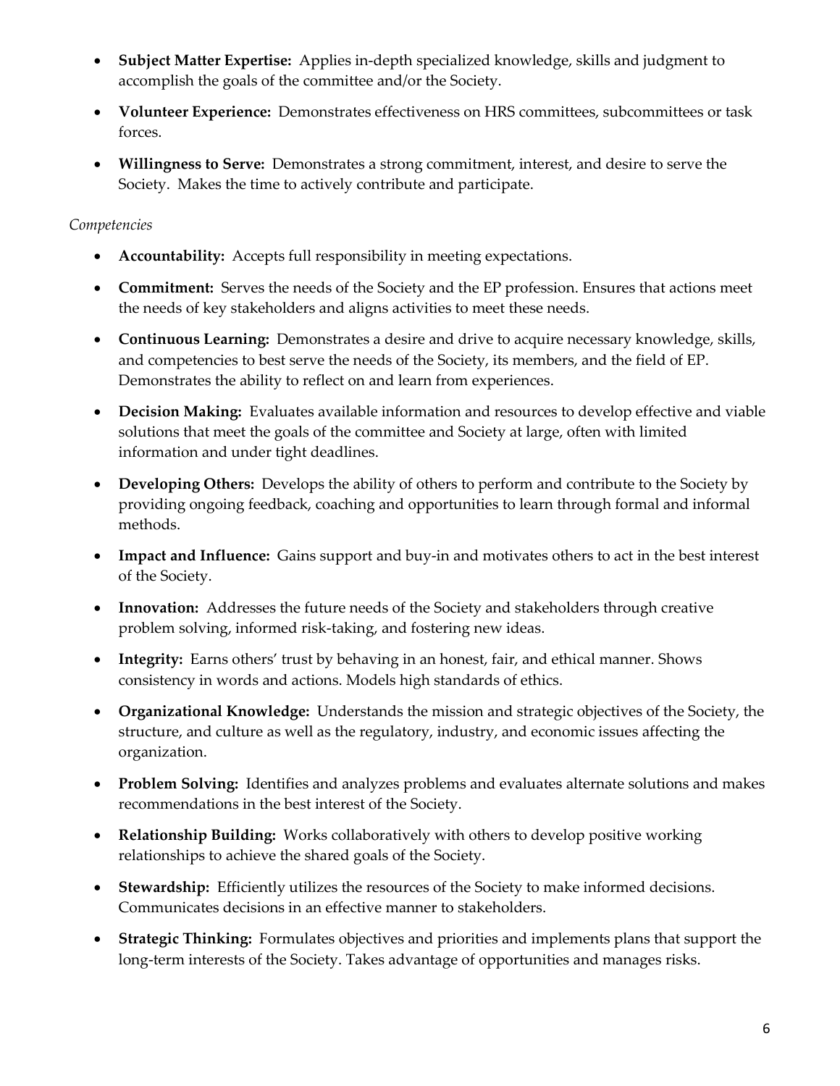- **Subject Matter Expertise:** Applies in-depth specialized knowledge, skills and judgment to accomplish the goals of the committee and/or the Society.
- **Volunteer Experience:** Demonstrates effectiveness on HRS committees, subcommittees or task forces.
- **Willingness to Serve:** Demonstrates a strong commitment, interest, and desire to serve the Society. Makes the time to actively contribute and participate.

- **Accountability:** Accepts full responsibility in meeting expectations.
- **Commitment:** Serves the needs of the Society and the EP profession. Ensures that actions meet the needs of key stakeholders and aligns activities to meet these needs.
- **Continuous Learning:** Demonstrates a desire and drive to acquire necessary knowledge, skills, and competencies to best serve the needs of the Society, its members, and the field of EP. Demonstrates the ability to reflect on and learn from experiences.
- **Decision Making:** Evaluates available information and resources to develop effective and viable solutions that meet the goals of the committee and Society at large, often with limited information and under tight deadlines.
- **Developing Others:** Develops the ability of others to perform and contribute to the Society by providing ongoing feedback, coaching and opportunities to learn through formal and informal methods.
- **Impact and Influence:** Gains support and buy-in and motivates others to act in the best interest of the Society.
- **Innovation:** Addresses the future needs of the Society and stakeholders through creative problem solving, informed risk-taking, and fostering new ideas.
- **Integrity:** Earns others' trust by behaving in an honest, fair, and ethical manner. Shows consistency in words and actions. Models high standards of ethics.
- **Organizational Knowledge:** Understands the mission and strategic objectives of the Society, the structure, and culture as well as the regulatory, industry, and economic issues affecting the organization.
- **Problem Solving:** Identifies and analyzes problems and evaluates alternate solutions and makes recommendations in the best interest of the Society.
- **Relationship Building:** Works collaboratively with others to develop positive working relationships to achieve the shared goals of the Society.
- **Stewardship:** Efficiently utilizes the resources of the Society to make informed decisions. Communicates decisions in an effective manner to stakeholders.
- **Strategic Thinking:** Formulates objectives and priorities and implements plans that support the long-term interests of the Society. Takes advantage of opportunities and manages risks.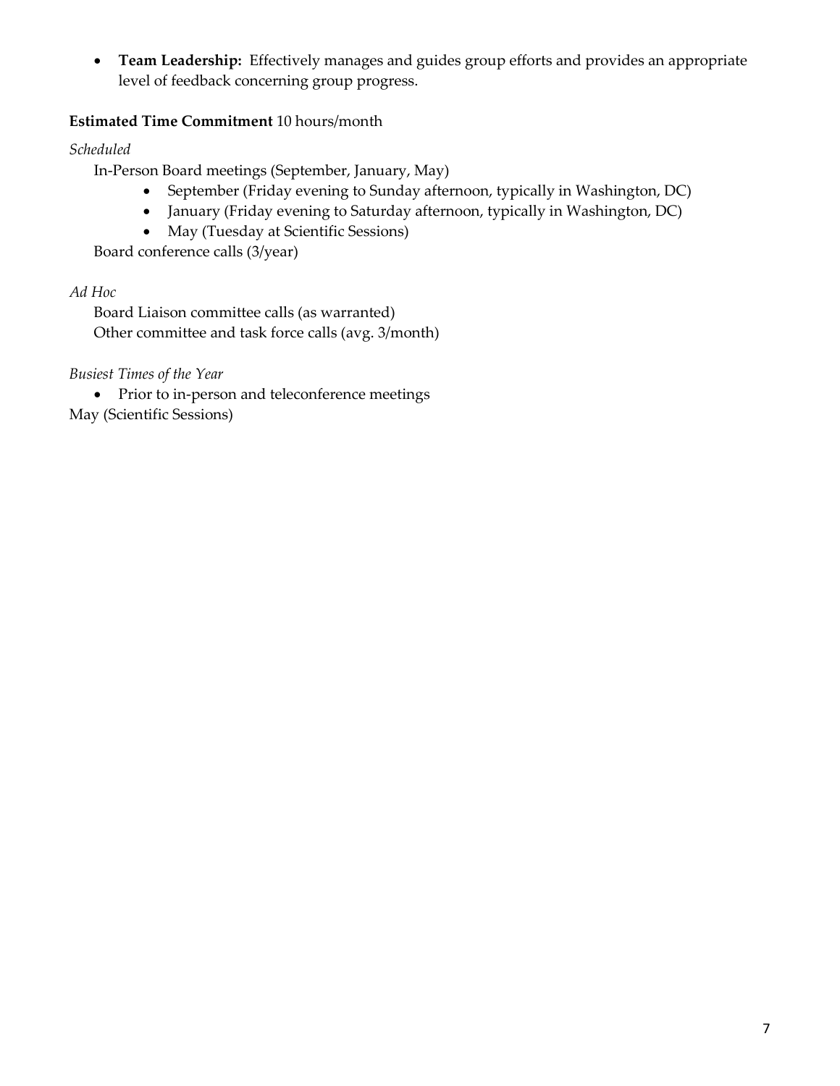• **Team Leadership:** Effectively manages and guides group efforts and provides an appropriate level of feedback concerning group progress.

# **Estimated Time Commitment** 10 hours/month

*Scheduled*

In-Person Board meetings (September, January, May)

- September (Friday evening to Sunday afternoon, typically in Washington, DC)
- January (Friday evening to Saturday afternoon, typically in Washington, DC)
- May (Tuesday at Scientific Sessions)

Board conference calls (3/year)

## *Ad Hoc*

Board Liaison committee calls (as warranted) Other committee and task force calls (avg. 3/month)

*Busiest Times of the Year*

• Prior to in-person and teleconference meetings May (Scientific Sessions)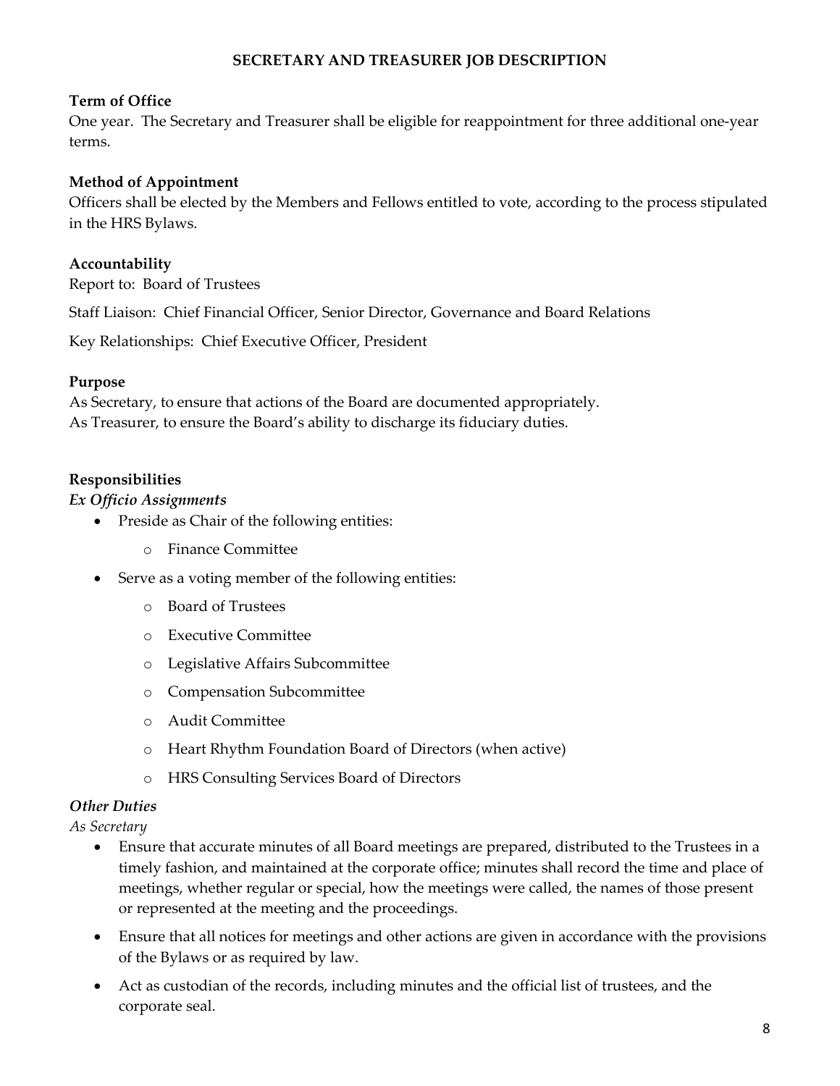# **SECRETARY AND TREASURER JOB DESCRIPTION**

### **Term of Office**

One year. The Secretary and Treasurer shall be eligible for reappointment for three additional one-year terms.

#### **Method of Appointment**

Officers shall be elected by the Members and Fellows entitled to vote, according to the process stipulated in the HRS Bylaws.

#### **Accountability**

Report to: Board of Trustees

Staff Liaison: Chief Financial Officer, Senior Director, Governance and Board Relations

Key Relationships: Chief Executive Officer, President

#### **Purpose**

As Secretary, to ensure that actions of the Board are documented appropriately. As Treasurer, to ensure the Board's ability to discharge its fiduciary duties.

#### **Responsibilities**

#### *Ex Officio Assignments*

- Preside as Chair of the following entities:
	- o Finance Committee
- Serve as a voting member of the following entities:
	- o Board of Trustees
	- o Executive Committee
	- o Legislative Affairs Subcommittee
	- o Compensation Subcommittee
	- o Audit Committee
	- o Heart Rhythm Foundation Board of Directors (when active)
	- o HRS Consulting Services Board of Directors

#### *Other Duties*

*As Secretary*

- Ensure that accurate minutes of all Board meetings are prepared, distributed to the Trustees in a timely fashion, and maintained at the corporate office; minutes shall record the time and place of meetings, whether regular or special, how the meetings were called, the names of those present or represented at the meeting and the proceedings.
- Ensure that all notices for meetings and other actions are given in accordance with the provisions of the Bylaws or as required by law.
- Act as custodian of the records, including minutes and the official list of trustees, and the corporate seal.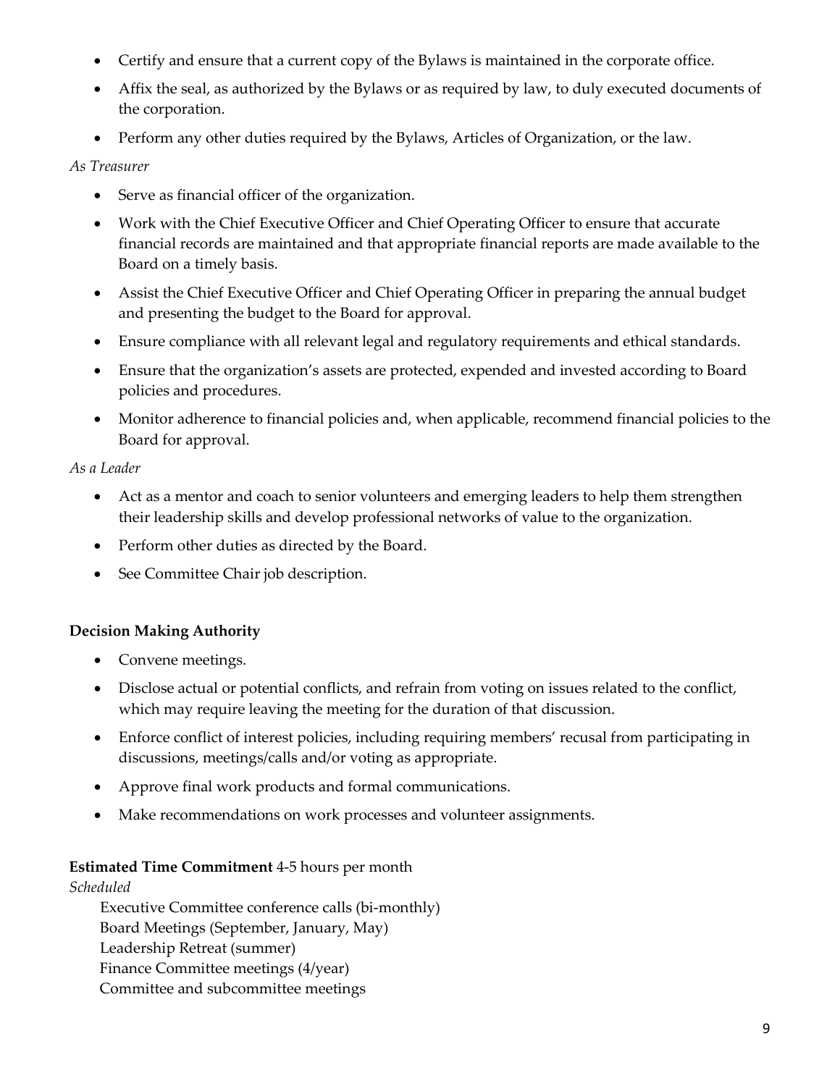- Certify and ensure that a current copy of the Bylaws is maintained in the corporate office.
- Affix the seal, as authorized by the Bylaws or as required by law, to duly executed documents of the corporation.
- Perform any other duties required by the Bylaws, Articles of Organization, or the law.

#### *As Treasurer*

- Serve as financial officer of the organization.
- Work with the Chief Executive Officer and Chief Operating Officer to ensure that accurate financial records are maintained and that appropriate financial reports are made available to the Board on a timely basis.
- Assist the Chief Executive Officer and Chief Operating Officer in preparing the annual budget and presenting the budget to the Board for approval.
- Ensure compliance with all relevant legal and regulatory requirements and ethical standards.
- Ensure that the organization's assets are protected, expended and invested according to Board policies and procedures.
- Monitor adherence to financial policies and, when applicable, recommend financial policies to the Board for approval.

#### *As a Leader*

- Act as a mentor and coach to senior volunteers and emerging leaders to help them strengthen their leadership skills and develop professional networks of value to the organization.
- Perform other duties as directed by the Board.
- See Committee Chair job description.

## **Decision Making Authority**

- Convene meetings.
- Disclose actual or potential conflicts, and refrain from voting on issues related to the conflict, which may require leaving the meeting for the duration of that discussion.
- Enforce conflict of interest policies, including requiring members' recusal from participating in discussions, meetings/calls and/or voting as appropriate.
- Approve final work products and formal communications.
- Make recommendations on work processes and volunteer assignments.

## **Estimated Time Commitment** 4-5 hours per month

#### *Scheduled*

Executive Committee conference calls (bi-monthly) Board Meetings (September, January, May) Leadership Retreat (summer) Finance Committee meetings (4/year) Committee and subcommittee meetings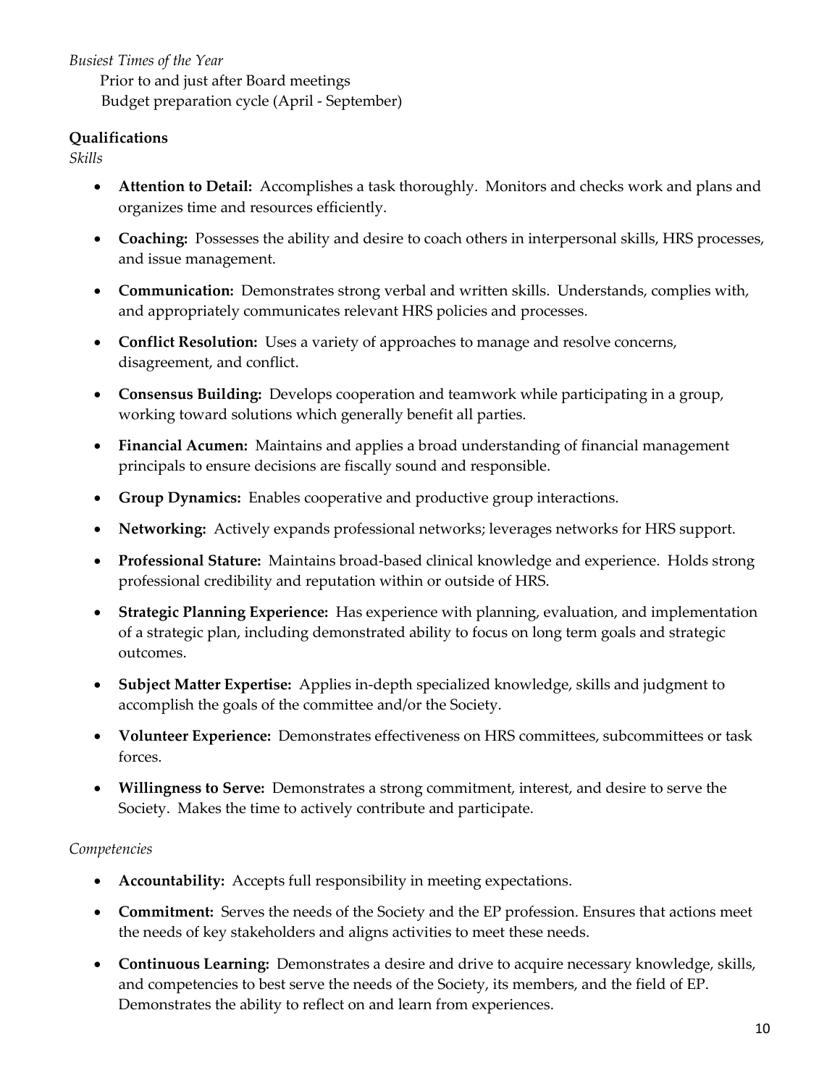*Busiest Times of the Year*

Prior to and just after Board meetings Budget preparation cycle (April - September)

#### **Qualifications**

*Skills*

- **Attention to Detail:** Accomplishes a task thoroughly. Monitors and checks work and plans and organizes time and resources efficiently.
- **Coaching:** Possesses the ability and desire to coach others in interpersonal skills, HRS processes, and issue management.
- **Communication:** Demonstrates strong verbal and written skills. Understands, complies with, and appropriately communicates relevant HRS policies and processes.
- **Conflict Resolution:** Uses a variety of approaches to manage and resolve concerns, disagreement, and conflict.
- **Consensus Building:** Develops cooperation and teamwork while participating in a group, working toward solutions which generally benefit all parties.
- **Financial Acumen:** Maintains and applies a broad understanding of financial management principals to ensure decisions are fiscally sound and responsible.
- **Group Dynamics:** Enables cooperative and productive group interactions.
- **Networking:** Actively expands professional networks; leverages networks for HRS support.
- **Professional Stature:** Maintains broad-based clinical knowledge and experience. Holds strong professional credibility and reputation within or outside of HRS.
- **Strategic Planning Experience:** Has experience with planning, evaluation, and implementation of a strategic plan, including demonstrated ability to focus on long term goals and strategic outcomes.
- **Subject Matter Expertise:** Applies in-depth specialized knowledge, skills and judgment to accomplish the goals of the committee and/or the Society.
- **Volunteer Experience:** Demonstrates effectiveness on HRS committees, subcommittees or task forces.
- **Willingness to Serve:** Demonstrates a strong commitment, interest, and desire to serve the Society. Makes the time to actively contribute and participate.

- **Accountability:** Accepts full responsibility in meeting expectations.
- **Commitment:** Serves the needs of the Society and the EP profession. Ensures that actions meet the needs of key stakeholders and aligns activities to meet these needs.
- **Continuous Learning:** Demonstrates a desire and drive to acquire necessary knowledge, skills, and competencies to best serve the needs of the Society, its members, and the field of EP. Demonstrates the ability to reflect on and learn from experiences.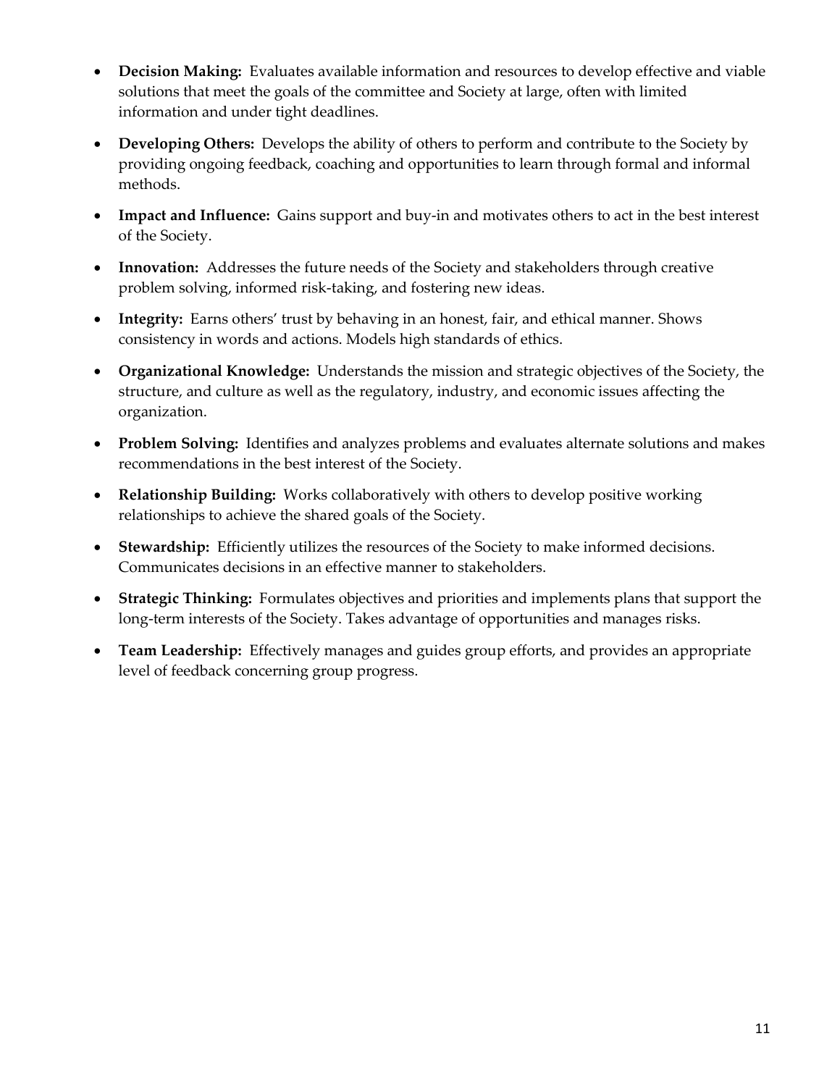- **Decision Making:** Evaluates available information and resources to develop effective and viable solutions that meet the goals of the committee and Society at large, often with limited information and under tight deadlines.
- **Developing Others:** Develops the ability of others to perform and contribute to the Society by providing ongoing feedback, coaching and opportunities to learn through formal and informal methods.
- **Impact and Influence:** Gains support and buy-in and motivates others to act in the best interest of the Society.
- **Innovation:** Addresses the future needs of the Society and stakeholders through creative problem solving, informed risk-taking, and fostering new ideas.
- **Integrity:** Earns others' trust by behaving in an honest, fair, and ethical manner. Shows consistency in words and actions. Models high standards of ethics.
- **Organizational Knowledge:** Understands the mission and strategic objectives of the Society, the structure, and culture as well as the regulatory, industry, and economic issues affecting the organization.
- **Problem Solving:** Identifies and analyzes problems and evaluates alternate solutions and makes recommendations in the best interest of the Society.
- **Relationship Building:** Works collaboratively with others to develop positive working relationships to achieve the shared goals of the Society.
- **Stewardship:** Efficiently utilizes the resources of the Society to make informed decisions. Communicates decisions in an effective manner to stakeholders.
- **Strategic Thinking:** Formulates objectives and priorities and implements plans that support the long-term interests of the Society. Takes advantage of opportunities and manages risks.
- **Team Leadership:** Effectively manages and guides group efforts, and provides an appropriate level of feedback concerning group progress.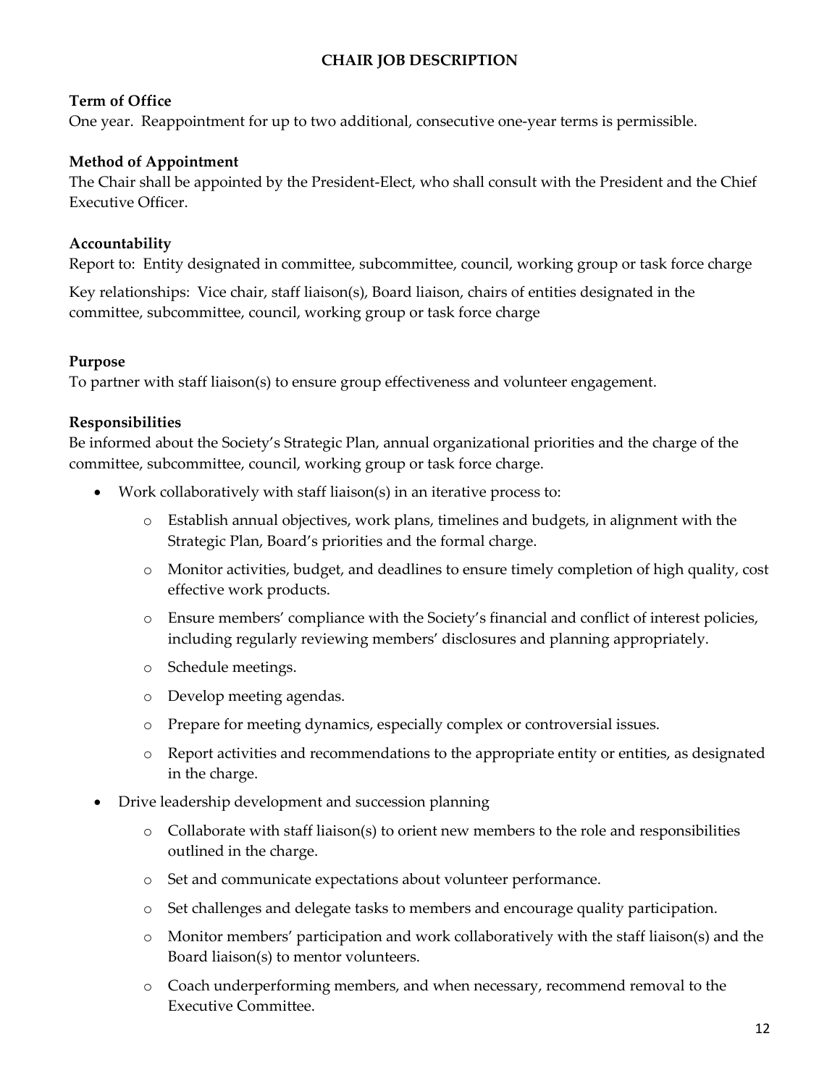# **CHAIR JOB DESCRIPTION**

#### **Term of Office**

One year. Reappointment for up to two additional, consecutive one-year terms is permissible.

#### **Method of Appointment**

The Chair shall be appointed by the President-Elect, who shall consult with the President and the Chief Executive Officer.

#### **Accountability**

Report to: Entity designated in committee, subcommittee, council, working group or task force charge

Key relationships: Vice chair, staff liaison(s), Board liaison, chairs of entities designated in the committee, subcommittee, council, working group or task force charge

#### **Purpose**

To partner with staff liaison(s) to ensure group effectiveness and volunteer engagement.

#### **Responsibilities**

Be informed about the Society's Strategic Plan, annual organizational priorities and the charge of the committee, subcommittee, council, working group or task force charge.

- Work collaboratively with staff liaison(s) in an iterative process to:
	- o Establish annual objectives, work plans, timelines and budgets, in alignment with the Strategic Plan, Board's priorities and the formal charge.
	- o Monitor activities, budget, and deadlines to ensure timely completion of high quality, cost effective work products.
	- o Ensure members' compliance with the Society's financial and conflict of interest policies, including regularly reviewing members' disclosures and planning appropriately.
	- o Schedule meetings.
	- o Develop meeting agendas.
	- o Prepare for meeting dynamics, especially complex or controversial issues.
	- o Report activities and recommendations to the appropriate entity or entities, as designated in the charge.
- Drive leadership development and succession planning
	- $\circ$  Collaborate with staff liaison(s) to orient new members to the role and responsibilities outlined in the charge.
	- o Set and communicate expectations about volunteer performance.
	- o Set challenges and delegate tasks to members and encourage quality participation.
	- o Monitor members' participation and work collaboratively with the staff liaison(s) and the Board liaison(s) to mentor volunteers.
	- o Coach underperforming members, and when necessary, recommend removal to the Executive Committee.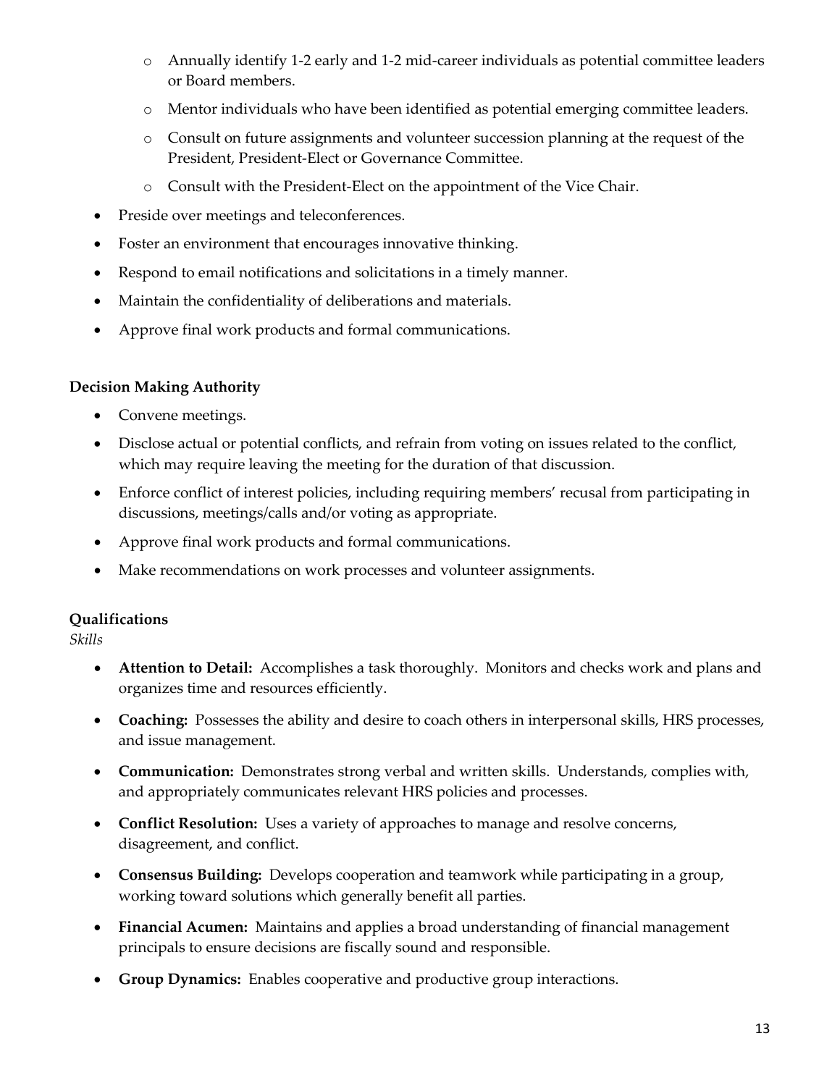- o Annually identify 1-2 early and 1-2 mid-career individuals as potential committee leaders or Board members.
- o Mentor individuals who have been identified as potential emerging committee leaders.
- o Consult on future assignments and volunteer succession planning at the request of the President, President-Elect or Governance Committee.
- o Consult with the President-Elect on the appointment of the Vice Chair.
- Preside over meetings and teleconferences.
- Foster an environment that encourages innovative thinking.
- Respond to email notifications and solicitations in a timely manner.
- Maintain the confidentiality of deliberations and materials.
- Approve final work products and formal communications.

# **Decision Making Authority**

- Convene meetings.
- Disclose actual or potential conflicts, and refrain from voting on issues related to the conflict, which may require leaving the meeting for the duration of that discussion.
- Enforce conflict of interest policies, including requiring members' recusal from participating in discussions, meetings/calls and/or voting as appropriate.
- Approve final work products and formal communications.
- Make recommendations on work processes and volunteer assignments.

# **Qualifications**

*Skills*

- **Attention to Detail:** Accomplishes a task thoroughly. Monitors and checks work and plans and organizes time and resources efficiently.
- **Coaching:** Possesses the ability and desire to coach others in interpersonal skills, HRS processes, and issue management.
- **Communication:** Demonstrates strong verbal and written skills. Understands, complies with, and appropriately communicates relevant HRS policies and processes.
- **Conflict Resolution:** Uses a variety of approaches to manage and resolve concerns, disagreement, and conflict.
- **Consensus Building:** Develops cooperation and teamwork while participating in a group, working toward solutions which generally benefit all parties.
- **Financial Acumen:** Maintains and applies a broad understanding of financial management principals to ensure decisions are fiscally sound and responsible.
- **Group Dynamics:** Enables cooperative and productive group interactions.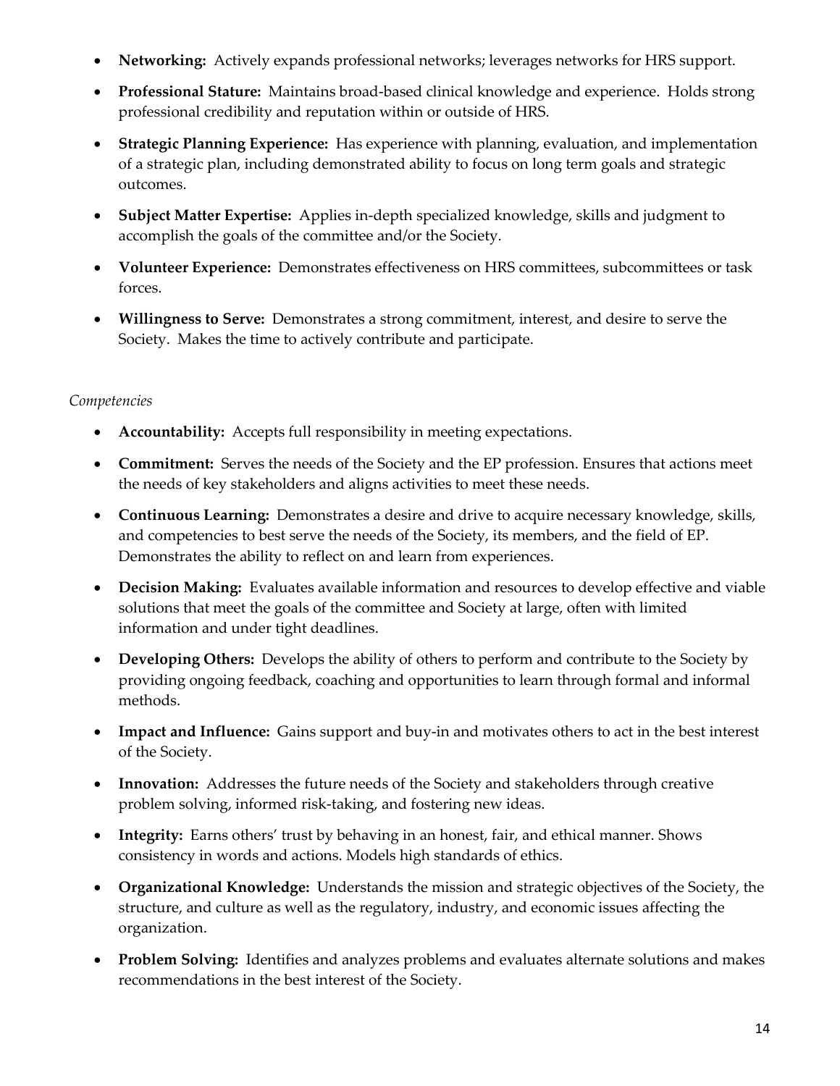- **Networking:** Actively expands professional networks; leverages networks for HRS support.
- **Professional Stature:** Maintains broad-based clinical knowledge and experience. Holds strong professional credibility and reputation within or outside of HRS.
- **Strategic Planning Experience:** Has experience with planning, evaluation, and implementation of a strategic plan, including demonstrated ability to focus on long term goals and strategic outcomes.
- **Subject Matter Expertise:** Applies in-depth specialized knowledge, skills and judgment to accomplish the goals of the committee and/or the Society.
- **Volunteer Experience:** Demonstrates effectiveness on HRS committees, subcommittees or task forces.
- **Willingness to Serve:** Demonstrates a strong commitment, interest, and desire to serve the Society. Makes the time to actively contribute and participate.

- **Accountability:** Accepts full responsibility in meeting expectations.
- **Commitment:** Serves the needs of the Society and the EP profession. Ensures that actions meet the needs of key stakeholders and aligns activities to meet these needs.
- **Continuous Learning:** Demonstrates a desire and drive to acquire necessary knowledge, skills, and competencies to best serve the needs of the Society, its members, and the field of EP. Demonstrates the ability to reflect on and learn from experiences.
- **Decision Making:** Evaluates available information and resources to develop effective and viable solutions that meet the goals of the committee and Society at large, often with limited information and under tight deadlines.
- **Developing Others:** Develops the ability of others to perform and contribute to the Society by providing ongoing feedback, coaching and opportunities to learn through formal and informal methods.
- **Impact and Influence:** Gains support and buy-in and motivates others to act in the best interest of the Society.
- **Innovation:** Addresses the future needs of the Society and stakeholders through creative problem solving, informed risk-taking, and fostering new ideas.
- **Integrity:** Earns others' trust by behaving in an honest, fair, and ethical manner. Shows consistency in words and actions. Models high standards of ethics.
- **Organizational Knowledge:** Understands the mission and strategic objectives of the Society, the structure, and culture as well as the regulatory, industry, and economic issues affecting the organization.
- **Problem Solving:** Identifies and analyzes problems and evaluates alternate solutions and makes recommendations in the best interest of the Society.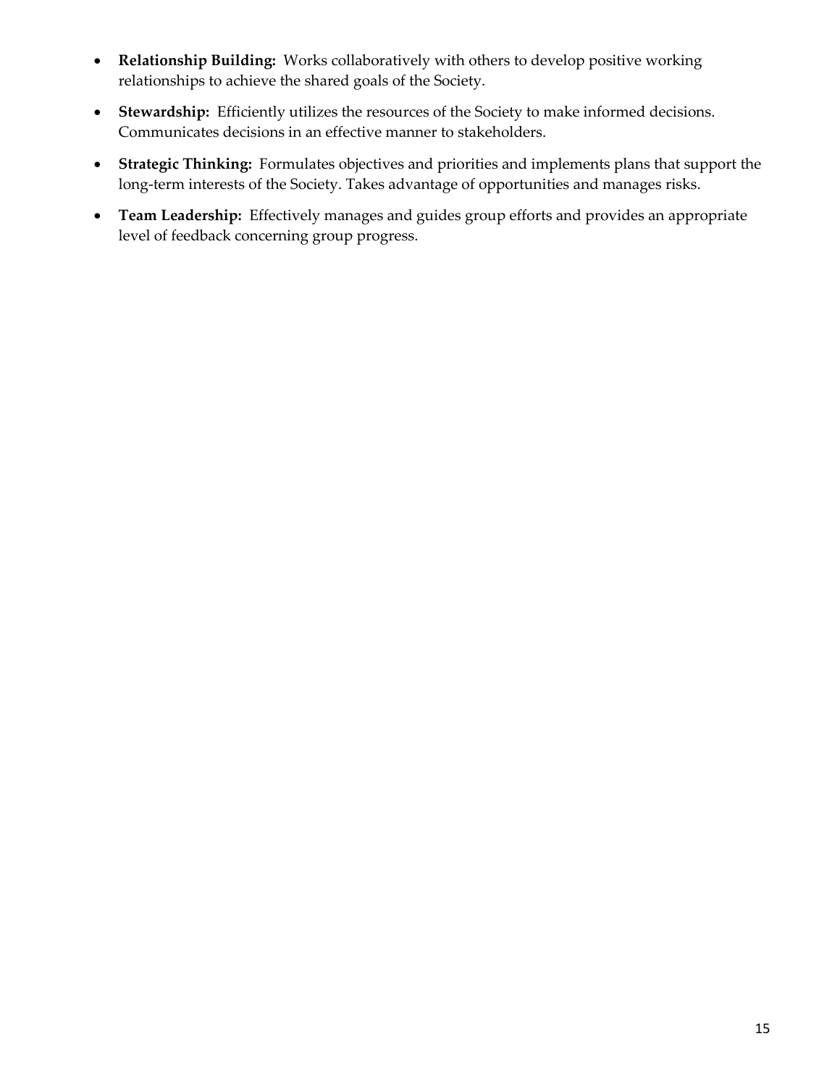- **Relationship Building:** Works collaboratively with others to develop positive working relationships to achieve the shared goals of the Society.
- **Stewardship:** Efficiently utilizes the resources of the Society to make informed decisions. Communicates decisions in an effective manner to stakeholders.
- **Strategic Thinking:** Formulates objectives and priorities and implements plans that support the long-term interests of the Society. Takes advantage of opportunities and manages risks.
- **Team Leadership:** Effectively manages and guides group efforts and provides an appropriate level of feedback concerning group progress.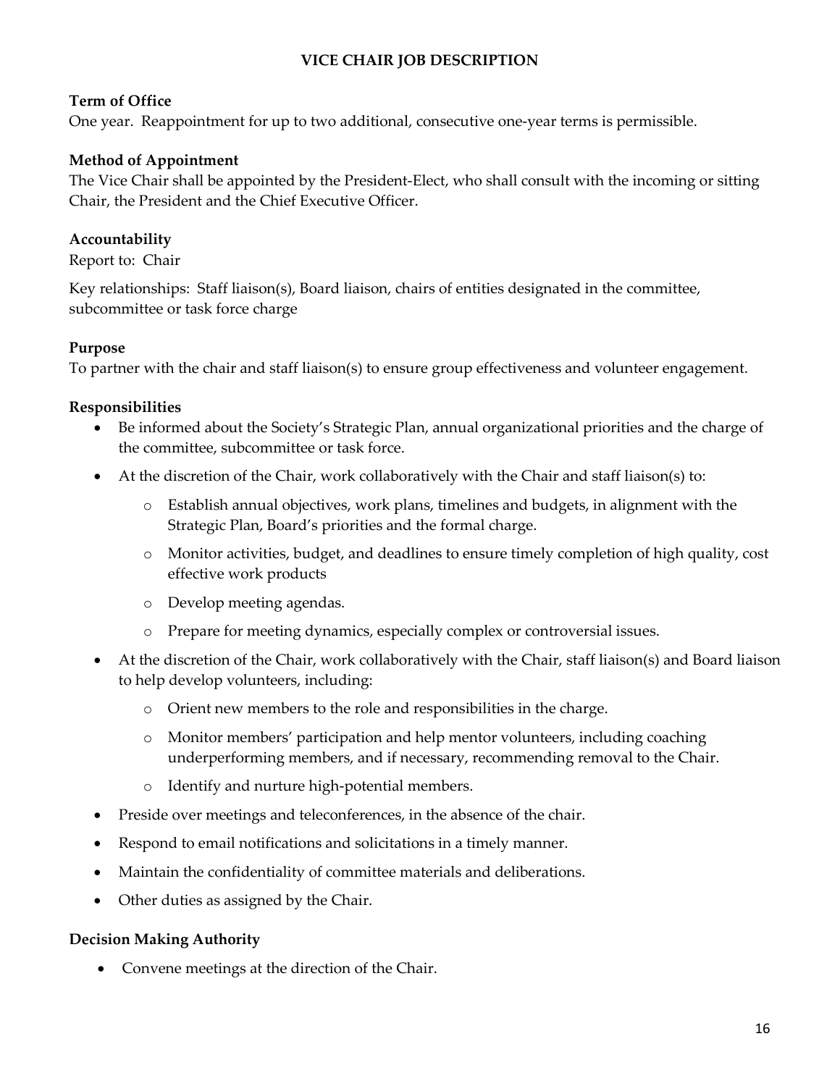# **VICE CHAIR JOB DESCRIPTION**

## **Term of Office**

One year. Reappointment for up to two additional, consecutive one-year terms is permissible.

# **Method of Appointment**

The Vice Chair shall be appointed by the President-Elect, who shall consult with the incoming or sitting Chair, the President and the Chief Executive Officer.

# **Accountability**

Report to: Chair

Key relationships: Staff liaison(s), Board liaison, chairs of entities designated in the committee, subcommittee or task force charge

## **Purpose**

To partner with the chair and staff liaison(s) to ensure group effectiveness and volunteer engagement.

## **Responsibilities**

- Be informed about the Society's Strategic Plan, annual organizational priorities and the charge of the committee, subcommittee or task force.
- At the discretion of the Chair, work collaboratively with the Chair and staff liaison(s) to:
	- o Establish annual objectives, work plans, timelines and budgets, in alignment with the Strategic Plan, Board's priorities and the formal charge.
	- o Monitor activities, budget, and deadlines to ensure timely completion of high quality, cost effective work products
	- o Develop meeting agendas.
	- o Prepare for meeting dynamics, especially complex or controversial issues.
- At the discretion of the Chair, work collaboratively with the Chair, staff liaison(s) and Board liaison to help develop volunteers, including:
	- o Orient new members to the role and responsibilities in the charge.
	- o Monitor members' participation and help mentor volunteers, including coaching underperforming members, and if necessary, recommending removal to the Chair.
	- o Identify and nurture high-potential members.
- Preside over meetings and teleconferences, in the absence of the chair.
- Respond to email notifications and solicitations in a timely manner.
- Maintain the confidentiality of committee materials and deliberations.
- Other duties as assigned by the Chair.

# **Decision Making Authority**

• Convene meetings at the direction of the Chair.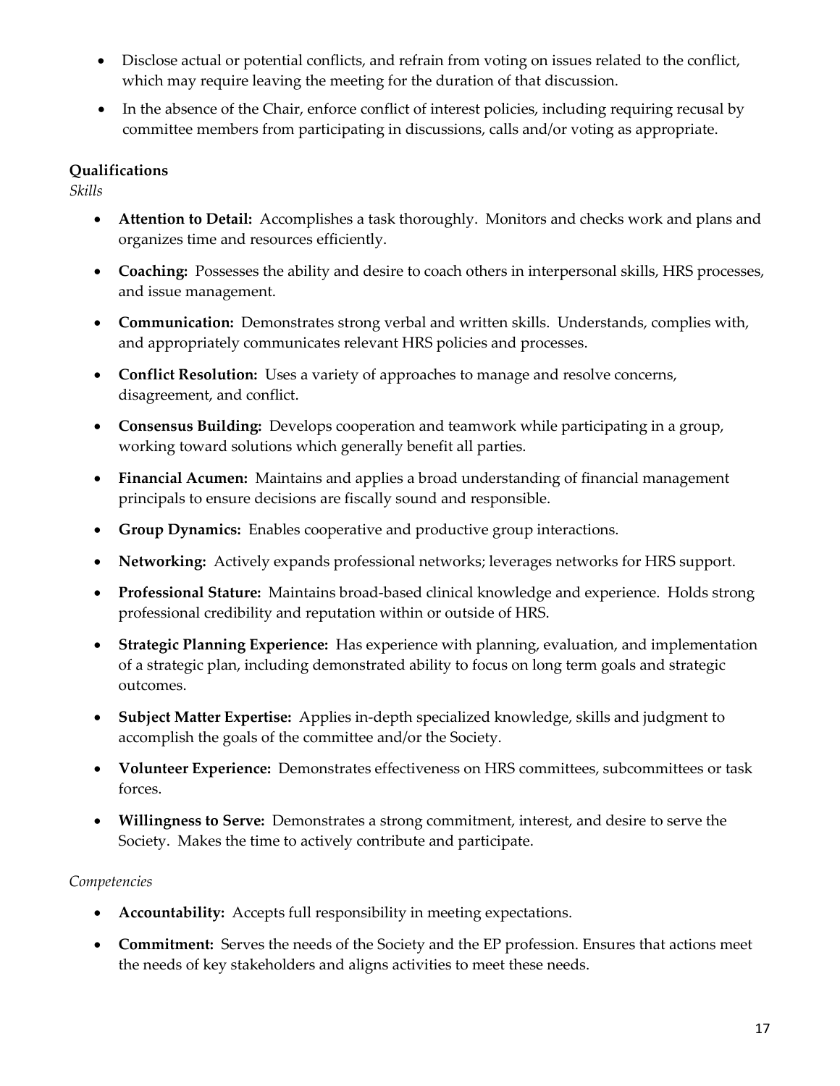- Disclose actual or potential conflicts, and refrain from voting on issues related to the conflict, which may require leaving the meeting for the duration of that discussion.
- In the absence of the Chair, enforce conflict of interest policies, including requiring recusal by committee members from participating in discussions, calls and/or voting as appropriate.

# **Qualifications**

*Skills*

- **Attention to Detail:** Accomplishes a task thoroughly. Monitors and checks work and plans and organizes time and resources efficiently.
- **Coaching:** Possesses the ability and desire to coach others in interpersonal skills, HRS processes, and issue management.
- **Communication:** Demonstrates strong verbal and written skills. Understands, complies with, and appropriately communicates relevant HRS policies and processes.
- **Conflict Resolution:** Uses a variety of approaches to manage and resolve concerns, disagreement, and conflict.
- **Consensus Building:** Develops cooperation and teamwork while participating in a group, working toward solutions which generally benefit all parties.
- **Financial Acumen:** Maintains and applies a broad understanding of financial management principals to ensure decisions are fiscally sound and responsible.
- **Group Dynamics:** Enables cooperative and productive group interactions.
- **Networking:** Actively expands professional networks; leverages networks for HRS support.
- **Professional Stature:** Maintains broad-based clinical knowledge and experience. Holds strong professional credibility and reputation within or outside of HRS.
- **Strategic Planning Experience:** Has experience with planning, evaluation, and implementation of a strategic plan, including demonstrated ability to focus on long term goals and strategic outcomes.
- **Subject Matter Expertise:** Applies in-depth specialized knowledge, skills and judgment to accomplish the goals of the committee and/or the Society.
- **Volunteer Experience:** Demonstrates effectiveness on HRS committees, subcommittees or task forces.
- **Willingness to Serve:** Demonstrates a strong commitment, interest, and desire to serve the Society. Makes the time to actively contribute and participate.

- **Accountability:** Accepts full responsibility in meeting expectations.
- **Commitment:** Serves the needs of the Society and the EP profession. Ensures that actions meet the needs of key stakeholders and aligns activities to meet these needs.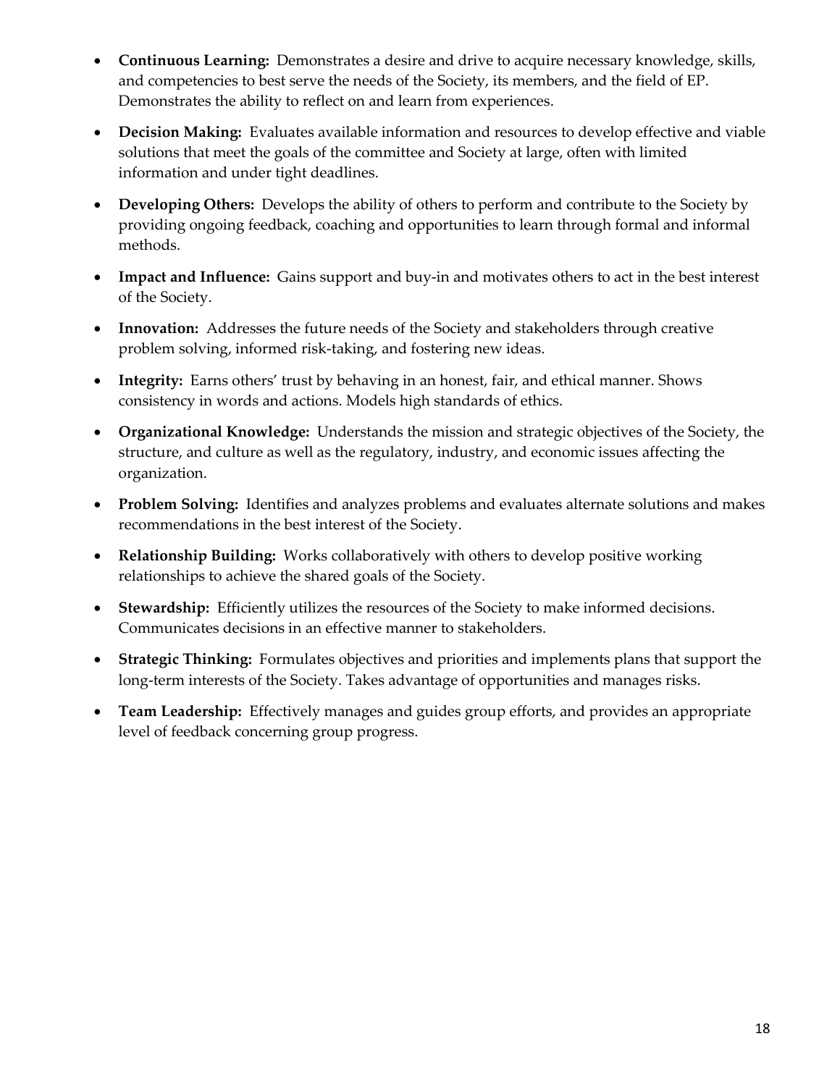- **Continuous Learning:** Demonstrates a desire and drive to acquire necessary knowledge, skills, and competencies to best serve the needs of the Society, its members, and the field of EP. Demonstrates the ability to reflect on and learn from experiences.
- **Decision Making:** Evaluates available information and resources to develop effective and viable solutions that meet the goals of the committee and Society at large, often with limited information and under tight deadlines.
- **Developing Others:** Develops the ability of others to perform and contribute to the Society by providing ongoing feedback, coaching and opportunities to learn through formal and informal methods.
- **Impact and Influence:** Gains support and buy-in and motivates others to act in the best interest of the Society.
- **Innovation:** Addresses the future needs of the Society and stakeholders through creative problem solving, informed risk-taking, and fostering new ideas.
- **Integrity:** Earns others' trust by behaving in an honest, fair, and ethical manner. Shows consistency in words and actions. Models high standards of ethics.
- **Organizational Knowledge:** Understands the mission and strategic objectives of the Society, the structure, and culture as well as the regulatory, industry, and economic issues affecting the organization.
- **Problem Solving:** Identifies and analyzes problems and evaluates alternate solutions and makes recommendations in the best interest of the Society.
- **Relationship Building:** Works collaboratively with others to develop positive working relationships to achieve the shared goals of the Society.
- **Stewardship:** Efficiently utilizes the resources of the Society to make informed decisions. Communicates decisions in an effective manner to stakeholders.
- **Strategic Thinking:** Formulates objectives and priorities and implements plans that support the long-term interests of the Society. Takes advantage of opportunities and manages risks.
- **Team Leadership:** Effectively manages and guides group efforts, and provides an appropriate level of feedback concerning group progress.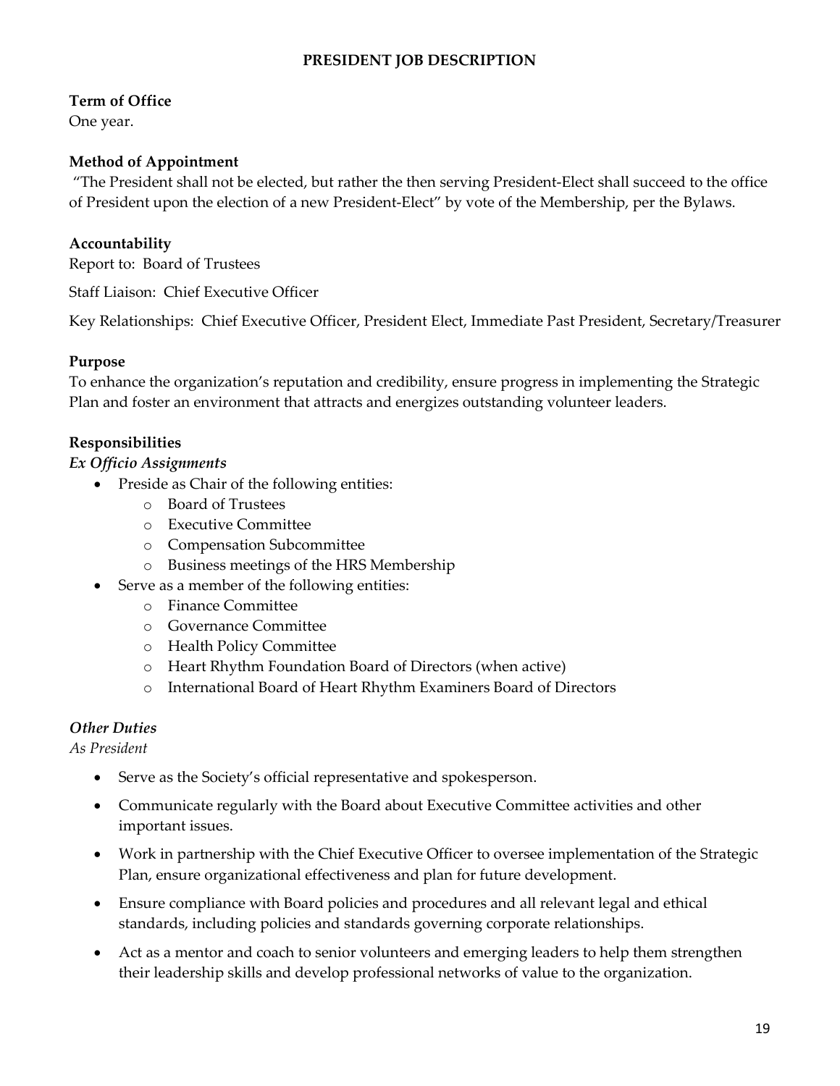## **PRESIDENT JOB DESCRIPTION**

### **Term of Office**

One year.

#### **Method of Appointment**

"The President shall not be elected, but rather the then serving President-Elect shall succeed to the office of President upon the election of a new President-Elect" by vote of the Membership, per the Bylaws.

#### **Accountability**

Report to: Board of Trustees

Staff Liaison: Chief Executive Officer

Key Relationships: Chief Executive Officer, President Elect, Immediate Past President, Secretary/Treasurer

#### **Purpose**

To enhance the organization's reputation and credibility, ensure progress in implementing the Strategic Plan and foster an environment that attracts and energizes outstanding volunteer leaders.

#### **Responsibilities**

#### *Ex Officio Assignments*

- Preside as Chair of the following entities:
	- o Board of Trustees
	- o Executive Committee
	- o Compensation Subcommittee
	- o Business meetings of the HRS Membership
- Serve as a member of the following entities:
	- o Finance Committee
	- o Governance Committee
	- o Health Policy Committee
	- o Heart Rhythm Foundation Board of Directors (when active)
	- o International Board of Heart Rhythm Examiners Board of Directors

#### *Other Duties*

*As President*

- Serve as the Society's official representative and spokesperson.
- Communicate regularly with the Board about Executive Committee activities and other important issues.
- Work in partnership with the Chief Executive Officer to oversee implementation of the Strategic Plan, ensure organizational effectiveness and plan for future development.
- Ensure compliance with Board policies and procedures and all relevant legal and ethical standards, including policies and standards governing corporate relationships.
- Act as a mentor and coach to senior volunteers and emerging leaders to help them strengthen their leadership skills and develop professional networks of value to the organization.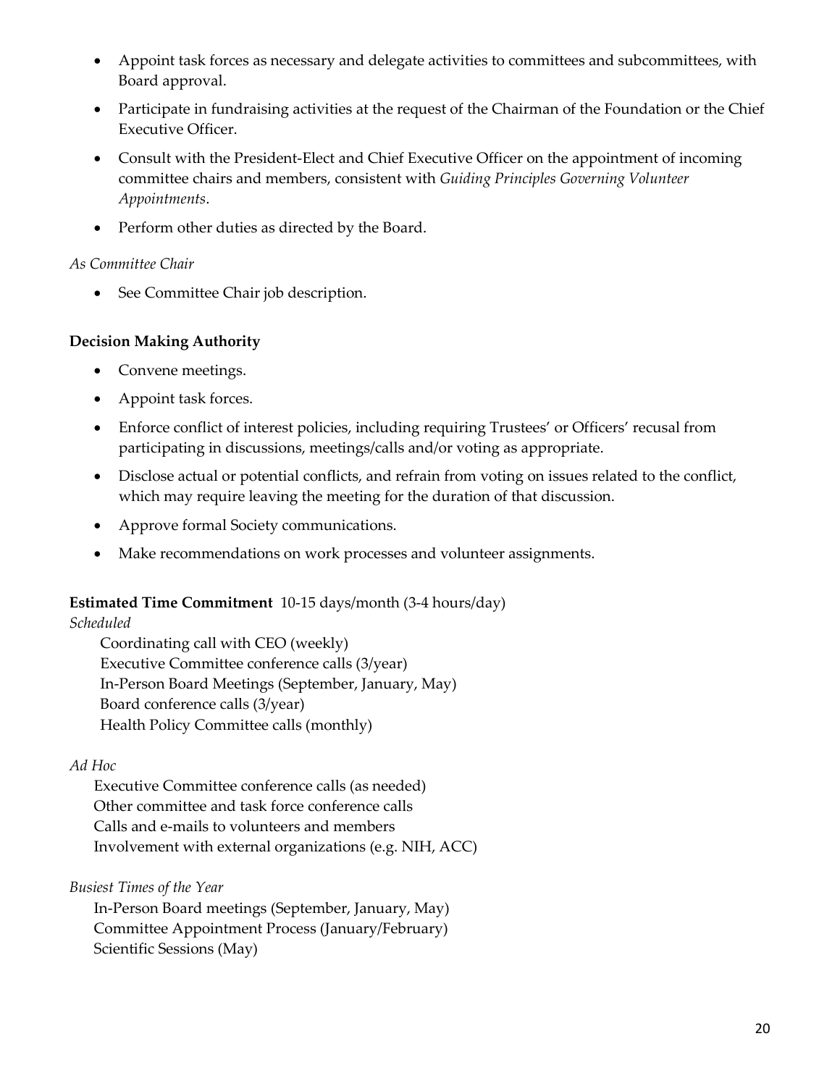- Appoint task forces as necessary and delegate activities to committees and subcommittees, with Board approval.
- Participate in fundraising activities at the request of the Chairman of the Foundation or the Chief Executive Officer.
- Consult with the President-Elect and Chief Executive Officer on the appointment of incoming committee chairs and members, consistent with *Guiding Principles Governing Volunteer Appointments*.
- Perform other duties as directed by the Board.

## *As Committee Chair*

• See Committee Chair job description.

# **Decision Making Authority**

- Convene meetings.
- Appoint task forces.
- Enforce conflict of interest policies, including requiring Trustees' or Officers' recusal from participating in discussions, meetings/calls and/or voting as appropriate.
- Disclose actual or potential conflicts, and refrain from voting on issues related to the conflict, which may require leaving the meeting for the duration of that discussion.
- Approve formal Society communications.
- Make recommendations on work processes and volunteer assignments.

# **Estimated Time Commitment** 10-15 days/month (3-4 hours/day)

*Scheduled*

Coordinating call with CEO (weekly) Executive Committee conference calls (3/year) In-Person Board Meetings (September, January, May) Board conference calls (3/year) Health Policy Committee calls (monthly)

# *Ad Hoc*

Executive Committee conference calls (as needed) Other committee and task force conference calls Calls and e-mails to volunteers and members Involvement with external organizations (e.g. NIH, ACC)

*Busiest Times of the Year*

In-Person Board meetings (September, January, May) Committee Appointment Process (January/February) Scientific Sessions (May)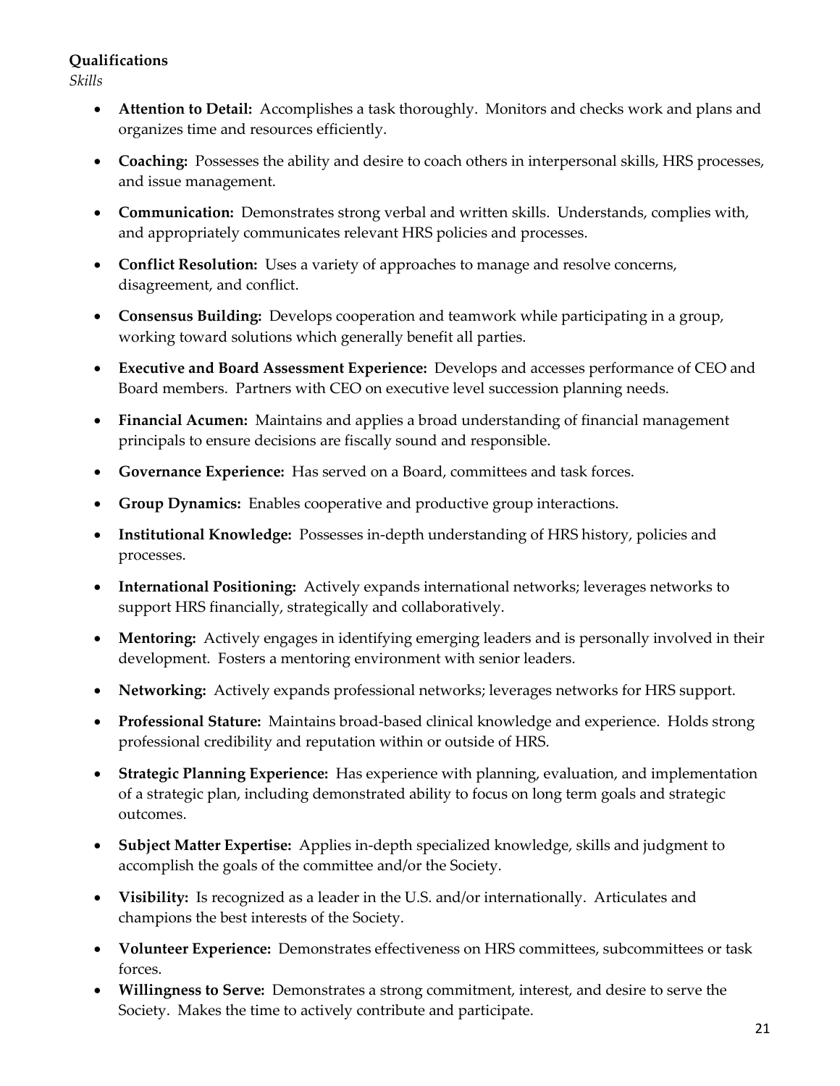### **Qualifications**

*Skills*

- **Attention to Detail:** Accomplishes a task thoroughly. Monitors and checks work and plans and organizes time and resources efficiently.
- **Coaching:** Possesses the ability and desire to coach others in interpersonal skills, HRS processes, and issue management.
- **Communication:** Demonstrates strong verbal and written skills. Understands, complies with, and appropriately communicates relevant HRS policies and processes.
- **Conflict Resolution:** Uses a variety of approaches to manage and resolve concerns, disagreement, and conflict.
- **Consensus Building:** Develops cooperation and teamwork while participating in a group, working toward solutions which generally benefit all parties.
- **Executive and Board Assessment Experience:** Develops and accesses performance of CEO and Board members. Partners with CEO on executive level succession planning needs.
- **Financial Acumen:** Maintains and applies a broad understanding of financial management principals to ensure decisions are fiscally sound and responsible.
- **Governance Experience:** Has served on a Board, committees and task forces.
- **Group Dynamics:** Enables cooperative and productive group interactions.
- **Institutional Knowledge:** Possesses in-depth understanding of HRS history, policies and processes.
- **International Positioning:** Actively expands international networks; leverages networks to support HRS financially, strategically and collaboratively.
- **Mentoring:** Actively engages in identifying emerging leaders and is personally involved in their development. Fosters a mentoring environment with senior leaders.
- **Networking:** Actively expands professional networks; leverages networks for HRS support.
- **Professional Stature:** Maintains broad-based clinical knowledge and experience. Holds strong professional credibility and reputation within or outside of HRS.
- **Strategic Planning Experience:** Has experience with planning, evaluation, and implementation of a strategic plan, including demonstrated ability to focus on long term goals and strategic outcomes.
- **Subject Matter Expertise:** Applies in-depth specialized knowledge, skills and judgment to accomplish the goals of the committee and/or the Society.
- **Visibility:** Is recognized as a leader in the U.S. and/or internationally. Articulates and champions the best interests of the Society.
- **Volunteer Experience:** Demonstrates effectiveness on HRS committees, subcommittees or task forces.
- **Willingness to Serve:** Demonstrates a strong commitment, interest, and desire to serve the Society. Makes the time to actively contribute and participate.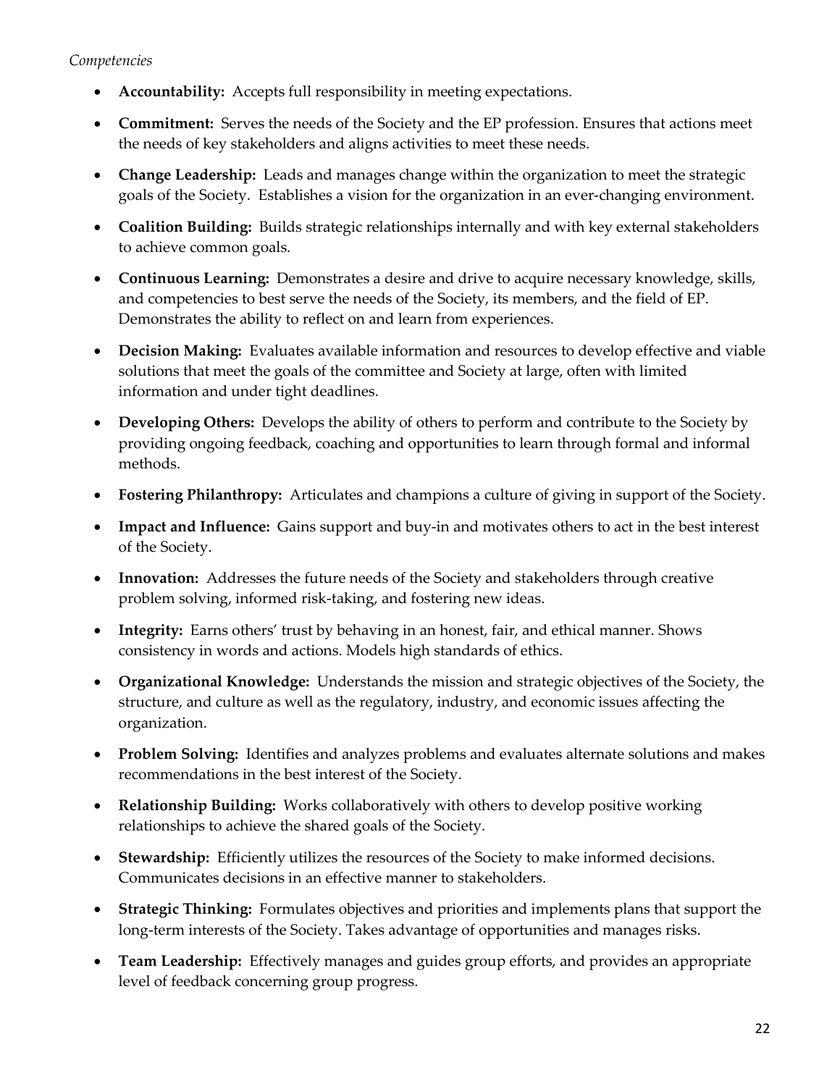- **Accountability:** Accepts full responsibility in meeting expectations.
- **Commitment:** Serves the needs of the Society and the EP profession. Ensures that actions meet the needs of key stakeholders and aligns activities to meet these needs.
- **Change Leadership:** Leads and manages change within the organization to meet the strategic goals of the Society. Establishes a vision for the organization in an ever-changing environment.
- **Coalition Building:** Builds strategic relationships internally and with key external stakeholders to achieve common goals.
- **Continuous Learning:** Demonstrates a desire and drive to acquire necessary knowledge, skills, and competencies to best serve the needs of the Society, its members, and the field of EP. Demonstrates the ability to reflect on and learn from experiences.
- **Decision Making:** Evaluates available information and resources to develop effective and viable solutions that meet the goals of the committee and Society at large, often with limited information and under tight deadlines.
- **Developing Others:** Develops the ability of others to perform and contribute to the Society by providing ongoing feedback, coaching and opportunities to learn through formal and informal methods.
- **Fostering Philanthropy:** Articulates and champions a culture of giving in support of the Society.
- **Impact and Influence:** Gains support and buy-in and motivates others to act in the best interest of the Society.
- **Innovation:** Addresses the future needs of the Society and stakeholders through creative problem solving, informed risk-taking, and fostering new ideas.
- **Integrity:** Earns others' trust by behaving in an honest, fair, and ethical manner. Shows consistency in words and actions. Models high standards of ethics.
- **Organizational Knowledge:** Understands the mission and strategic objectives of the Society, the structure, and culture as well as the regulatory, industry, and economic issues affecting the organization.
- **Problem Solving:** Identifies and analyzes problems and evaluates alternate solutions and makes recommendations in the best interest of the Society.
- **Relationship Building:** Works collaboratively with others to develop positive working relationships to achieve the shared goals of the Society.
- **Stewardship:** Efficiently utilizes the resources of the Society to make informed decisions. Communicates decisions in an effective manner to stakeholders.
- **Strategic Thinking:** Formulates objectives and priorities and implements plans that support the long-term interests of the Society. Takes advantage of opportunities and manages risks.
- **Team Leadership:** Effectively manages and guides group efforts, and provides an appropriate level of feedback concerning group progress.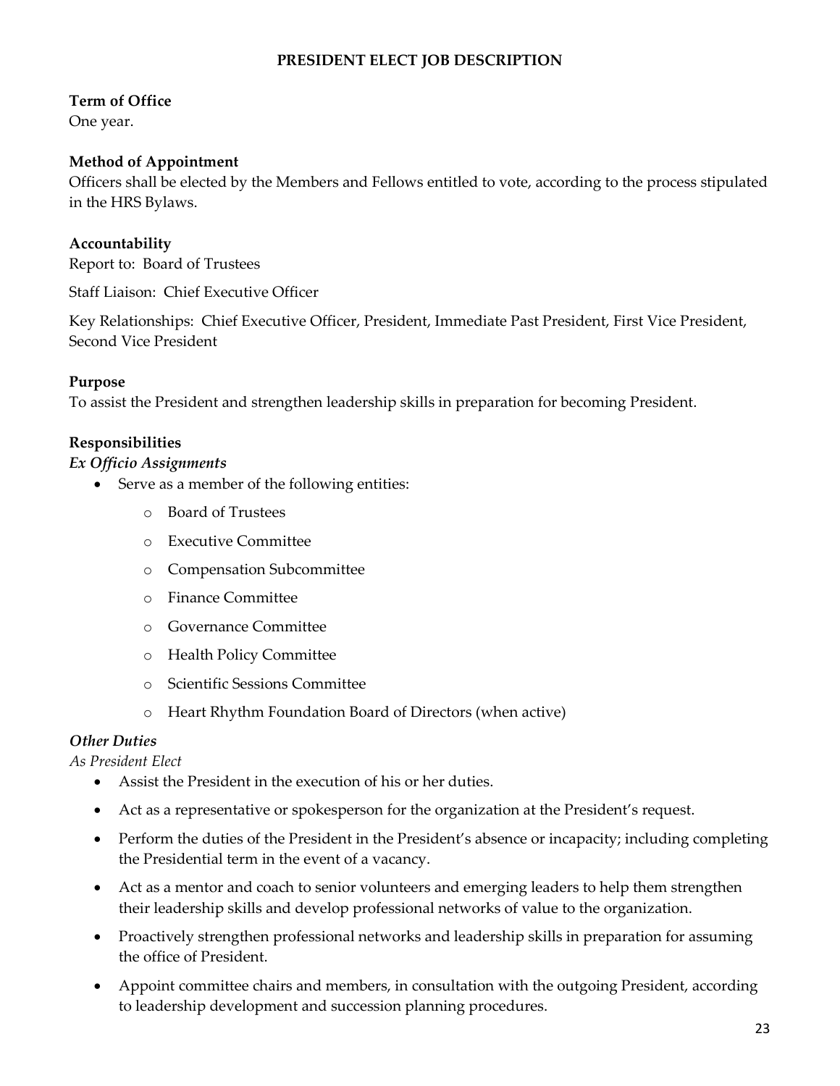# **PRESIDENT ELECT JOB DESCRIPTION**

#### **Term of Office**

One year.

#### **Method of Appointment**

Officers shall be elected by the Members and Fellows entitled to vote, according to the process stipulated in the HRS Bylaws.

#### **Accountability**

Report to: Board of Trustees

Staff Liaison: Chief Executive Officer

Key Relationships: Chief Executive Officer, President, Immediate Past President, First Vice President, Second Vice President

#### **Purpose**

To assist the President and strengthen leadership skills in preparation for becoming President.

#### **Responsibilities**

#### *Ex Officio Assignments*

- Serve as a member of the following entities:
	- o Board of Trustees
	- o Executive Committee
	- o Compensation Subcommittee
	- o Finance Committee
	- o Governance Committee
	- o Health Policy Committee
	- o Scientific Sessions Committee
	- o Heart Rhythm Foundation Board of Directors (when active)

#### *Other Duties*

*As President Elect*

- Assist the President in the execution of his or her duties.
- Act as a representative or spokesperson for the organization at the President's request.
- Perform the duties of the President in the President's absence or incapacity; including completing the Presidential term in the event of a vacancy.
- Act as a mentor and coach to senior volunteers and emerging leaders to help them strengthen their leadership skills and develop professional networks of value to the organization.
- Proactively strengthen professional networks and leadership skills in preparation for assuming the office of President.
- Appoint committee chairs and members, in consultation with the outgoing President, according to leadership development and succession planning procedures.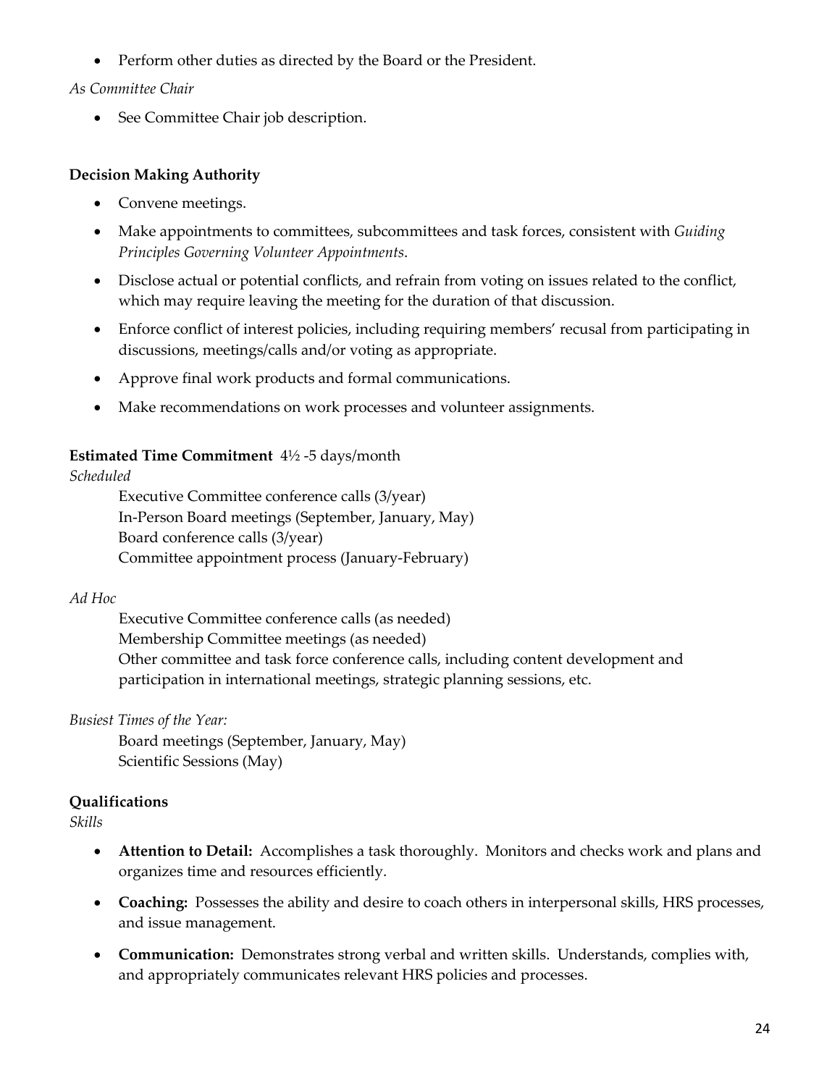• Perform other duties as directed by the Board or the President.

#### *As Committee Chair*

• See Committee Chair job description.

#### **Decision Making Authority**

- Convene meetings.
- Make appointments to committees, subcommittees and task forces, consistent with *Guiding Principles Governing Volunteer Appointments*.
- Disclose actual or potential conflicts, and refrain from voting on issues related to the conflict, which may require leaving the meeting for the duration of that discussion.
- Enforce conflict of interest policies, including requiring members' recusal from participating in discussions, meetings/calls and/or voting as appropriate.
- Approve final work products and formal communications.
- Make recommendations on work processes and volunteer assignments.

#### **Estimated Time Commitment** 4½ -5 days/month

*Scheduled*

Executive Committee conference calls (3/year) In-Person Board meetings (September, January, May) Board conference calls (3/year) Committee appointment process (January-February)

#### *Ad Hoc*

Executive Committee conference calls (as needed) Membership Committee meetings (as needed) Other committee and task force conference calls, including content development and participation in international meetings, strategic planning sessions, etc.

## *Busiest Times of the Year:*

Board meetings (September, January, May) Scientific Sessions (May)

## **Qualifications**

*Skills*

- **Attention to Detail:** Accomplishes a task thoroughly. Monitors and checks work and plans and organizes time and resources efficiently.
- **Coaching:** Possesses the ability and desire to coach others in interpersonal skills, HRS processes, and issue management.
- **Communication:** Demonstrates strong verbal and written skills. Understands, complies with, and appropriately communicates relevant HRS policies and processes.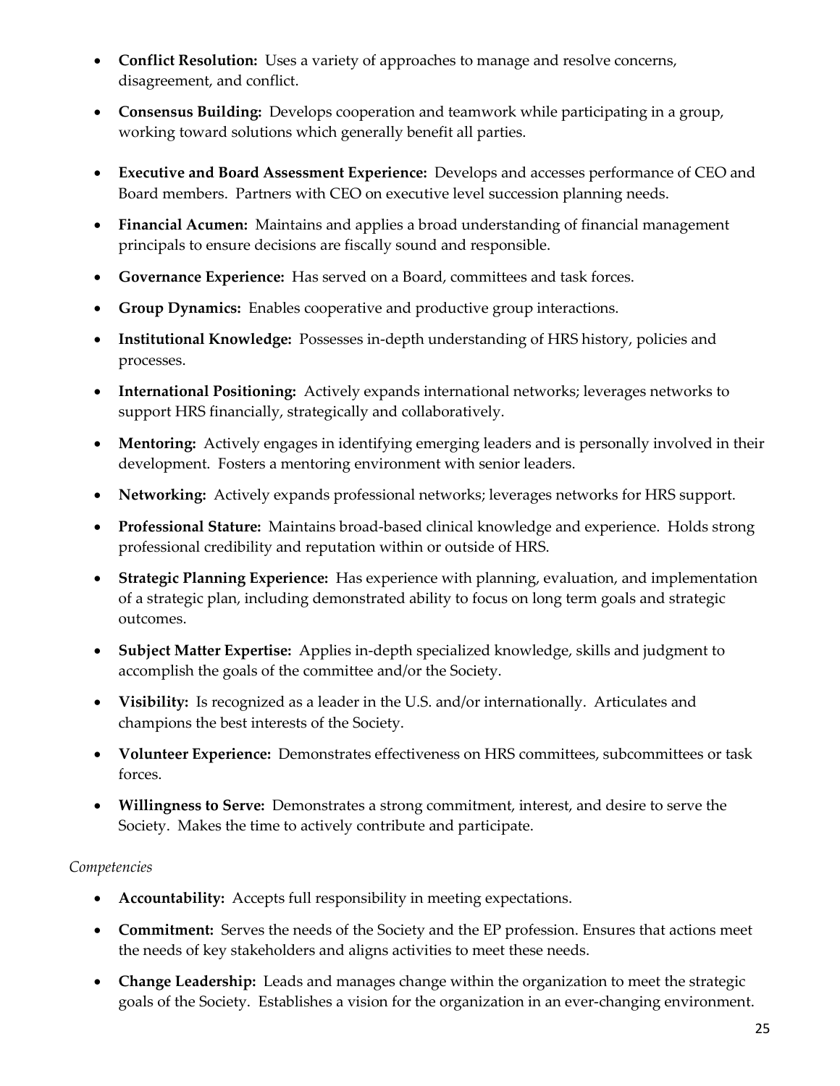- **Conflict Resolution:** Uses a variety of approaches to manage and resolve concerns, disagreement, and conflict.
- **Consensus Building:** Develops cooperation and teamwork while participating in a group, working toward solutions which generally benefit all parties.
- **Executive and Board Assessment Experience:** Develops and accesses performance of CEO and Board members. Partners with CEO on executive level succession planning needs.
- **Financial Acumen:** Maintains and applies a broad understanding of financial management principals to ensure decisions are fiscally sound and responsible.
- **Governance Experience:** Has served on a Board, committees and task forces.
- **Group Dynamics:** Enables cooperative and productive group interactions.
- **Institutional Knowledge:** Possesses in-depth understanding of HRS history, policies and processes.
- **International Positioning:** Actively expands international networks; leverages networks to support HRS financially, strategically and collaboratively.
- **Mentoring:** Actively engages in identifying emerging leaders and is personally involved in their development. Fosters a mentoring environment with senior leaders.
- **Networking:** Actively expands professional networks; leverages networks for HRS support.
- **Professional Stature:** Maintains broad-based clinical knowledge and experience. Holds strong professional credibility and reputation within or outside of HRS.
- **Strategic Planning Experience:** Has experience with planning, evaluation, and implementation of a strategic plan, including demonstrated ability to focus on long term goals and strategic outcomes.
- **Subject Matter Expertise:** Applies in-depth specialized knowledge, skills and judgment to accomplish the goals of the committee and/or the Society.
- **Visibility:** Is recognized as a leader in the U.S. and/or internationally. Articulates and champions the best interests of the Society.
- **Volunteer Experience:** Demonstrates effectiveness on HRS committees, subcommittees or task forces.
- **Willingness to Serve:** Demonstrates a strong commitment, interest, and desire to serve the Society. Makes the time to actively contribute and participate.

- **Accountability:** Accepts full responsibility in meeting expectations.
- **Commitment:** Serves the needs of the Society and the EP profession. Ensures that actions meet the needs of key stakeholders and aligns activities to meet these needs.
- **Change Leadership:** Leads and manages change within the organization to meet the strategic goals of the Society. Establishes a vision for the organization in an ever-changing environment.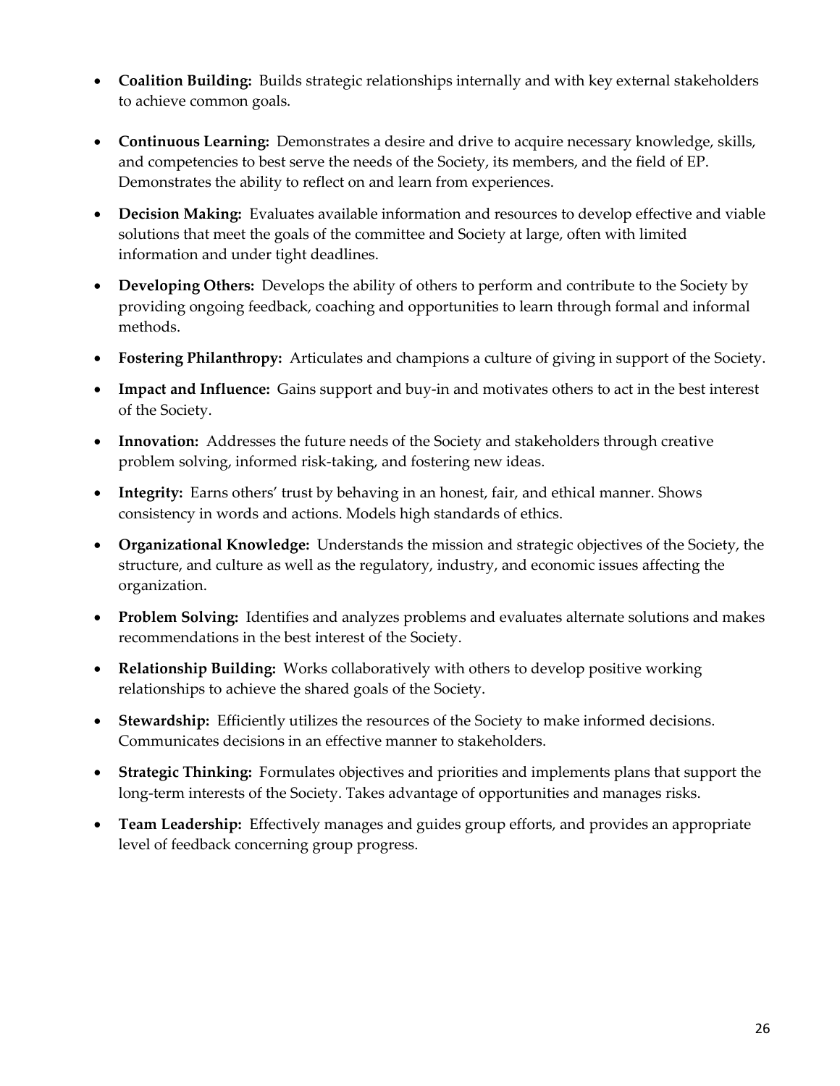- **Coalition Building:** Builds strategic relationships internally and with key external stakeholders to achieve common goals.
- **Continuous Learning:** Demonstrates a desire and drive to acquire necessary knowledge, skills, and competencies to best serve the needs of the Society, its members, and the field of EP. Demonstrates the ability to reflect on and learn from experiences.
- **Decision Making:** Evaluates available information and resources to develop effective and viable solutions that meet the goals of the committee and Society at large, often with limited information and under tight deadlines.
- **Developing Others:** Develops the ability of others to perform and contribute to the Society by providing ongoing feedback, coaching and opportunities to learn through formal and informal methods.
- **Fostering Philanthropy:** Articulates and champions a culture of giving in support of the Society.
- **Impact and Influence:** Gains support and buy-in and motivates others to act in the best interest of the Society.
- **Innovation:** Addresses the future needs of the Society and stakeholders through creative problem solving, informed risk-taking, and fostering new ideas.
- **Integrity:** Earns others' trust by behaving in an honest, fair, and ethical manner. Shows consistency in words and actions. Models high standards of ethics.
- **Organizational Knowledge:** Understands the mission and strategic objectives of the Society, the structure, and culture as well as the regulatory, industry, and economic issues affecting the organization.
- **Problem Solving:** Identifies and analyzes problems and evaluates alternate solutions and makes recommendations in the best interest of the Society.
- **Relationship Building:** Works collaboratively with others to develop positive working relationships to achieve the shared goals of the Society.
- **Stewardship:** Efficiently utilizes the resources of the Society to make informed decisions. Communicates decisions in an effective manner to stakeholders.
- **Strategic Thinking:** Formulates objectives and priorities and implements plans that support the long-term interests of the Society. Takes advantage of opportunities and manages risks.
- **Team Leadership:** Effectively manages and guides group efforts, and provides an appropriate level of feedback concerning group progress.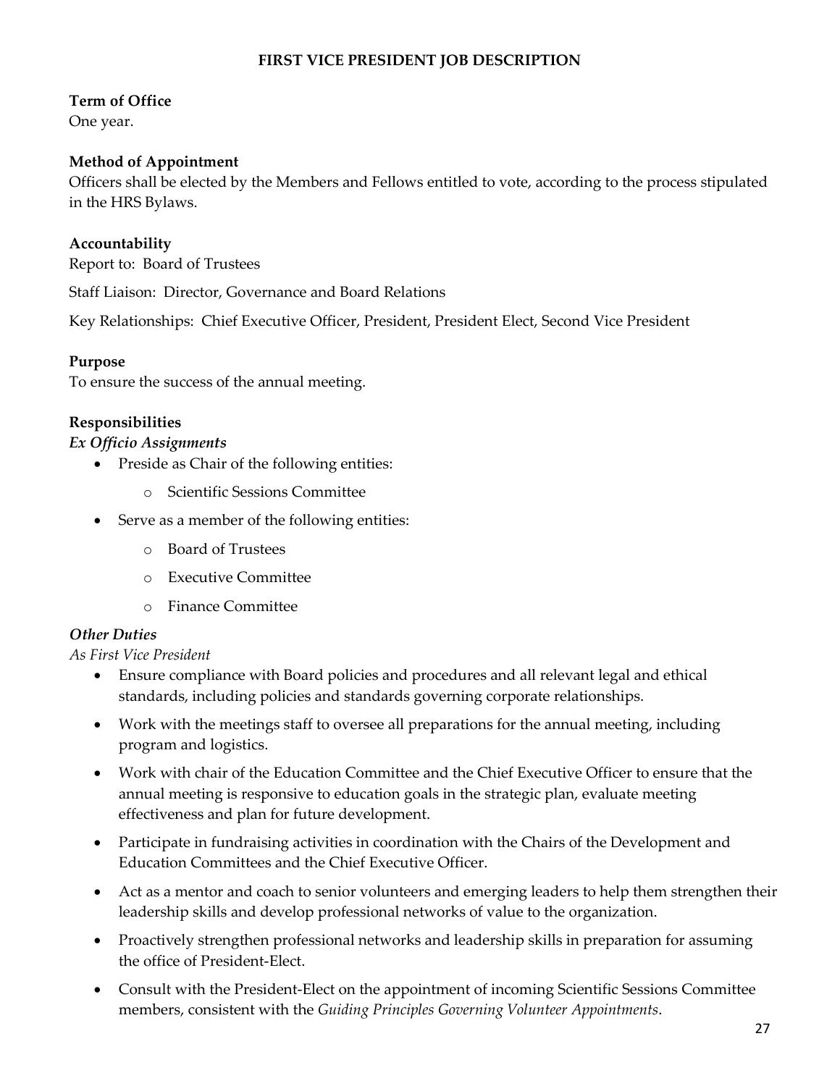## **FIRST VICE PRESIDENT JOB DESCRIPTION**

### **Term of Office**

One year.

#### **Method of Appointment**

Officers shall be elected by the Members and Fellows entitled to vote, according to the process stipulated in the HRS Bylaws.

## **Accountability**

Report to: Board of Trustees

Staff Liaison: Director, Governance and Board Relations

Key Relationships: Chief Executive Officer, President, President Elect, Second Vice President

#### **Purpose**

To ensure the success of the annual meeting.

#### **Responsibilities**

#### *Ex Officio Assignments*

- Preside as Chair of the following entities:
	- o Scientific Sessions Committee
- Serve as a member of the following entities:
	- o Board of Trustees
	- o Executive Committee
	- o Finance Committee

#### *Other Duties*

*As First Vice President*

- Ensure compliance with Board policies and procedures and all relevant legal and ethical standards, including policies and standards governing corporate relationships.
- Work with the meetings staff to oversee all preparations for the annual meeting, including program and logistics.
- Work with chair of the Education Committee and the Chief Executive Officer to ensure that the annual meeting is responsive to education goals in the strategic plan, evaluate meeting effectiveness and plan for future development.
- Participate in fundraising activities in coordination with the Chairs of the Development and Education Committees and the Chief Executive Officer.
- Act as a mentor and coach to senior volunteers and emerging leaders to help them strengthen their leadership skills and develop professional networks of value to the organization.
- Proactively strengthen professional networks and leadership skills in preparation for assuming the office of President-Elect.
- Consult with the President-Elect on the appointment of incoming Scientific Sessions Committee members, consistent with the *Guiding Principles Governing Volunteer Appointments*.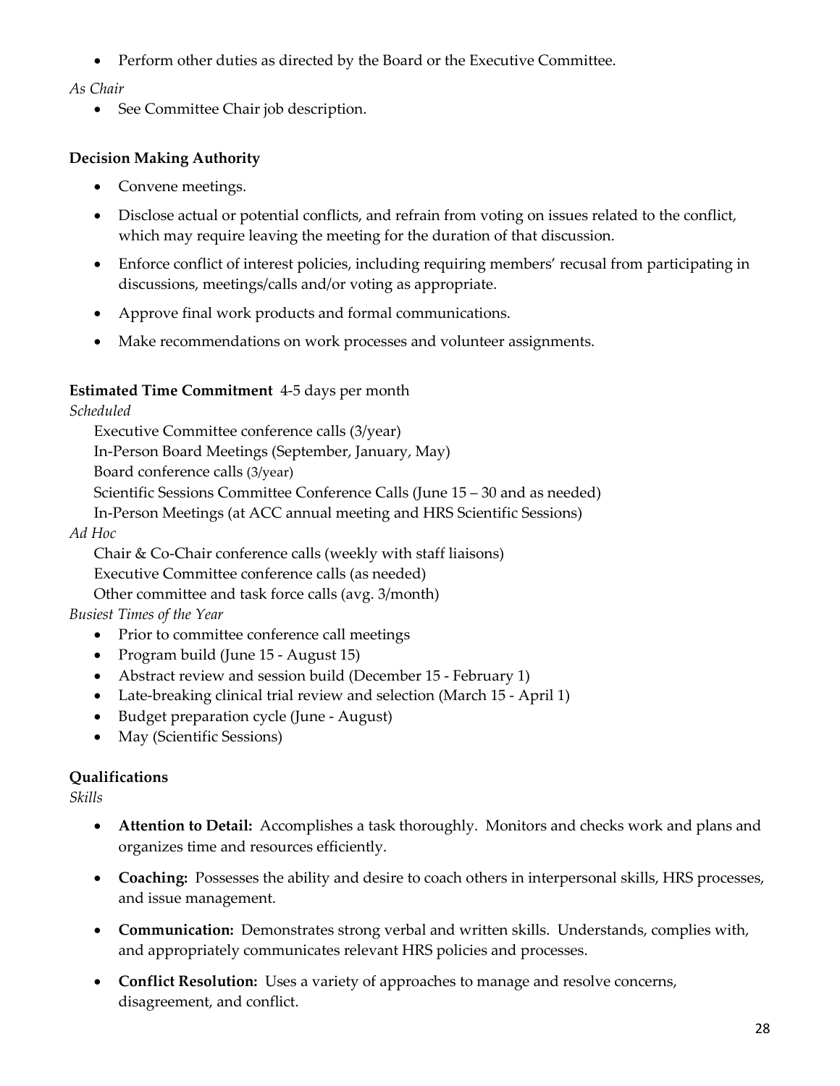• Perform other duties as directed by the Board or the Executive Committee.

# *As Chair*

• See Committee Chair job description.

# **Decision Making Authority**

- Convene meetings.
- Disclose actual or potential conflicts, and refrain from voting on issues related to the conflict, which may require leaving the meeting for the duration of that discussion.
- Enforce conflict of interest policies, including requiring members' recusal from participating in discussions, meetings/calls and/or voting as appropriate.
- Approve final work products and formal communications.
- Make recommendations on work processes and volunteer assignments.

# **Estimated Time Commitment** 4-5 days per month

*Scheduled*

Executive Committee conference calls (3/year) In-Person Board Meetings (September, January, May) Board conference calls (3/year) Scientific Sessions Committee Conference Calls (June 15 – 30 and as needed) In-Person Meetings (at ACC annual meeting and HRS Scientific Sessions) *Ad Hoc*

Chair & Co-Chair conference calls (weekly with staff liaisons) Executive Committee conference calls (as needed)

Other committee and task force calls (avg. 3/month)

# *Busiest Times of the Year*

- Prior to committee conference call meetings
- Program build (June 15 August 15)
- Abstract review and session build (December 15 February 1)
- Late-breaking clinical trial review and selection (March 15 April 1)
- Budget preparation cycle (June August)
- May (Scientific Sessions)

# **Qualifications**

*Skills*

- **Attention to Detail:** Accomplishes a task thoroughly. Monitors and checks work and plans and organizes time and resources efficiently.
- **Coaching:** Possesses the ability and desire to coach others in interpersonal skills, HRS processes, and issue management.
- **Communication:** Demonstrates strong verbal and written skills. Understands, complies with, and appropriately communicates relevant HRS policies and processes.
- **Conflict Resolution:** Uses a variety of approaches to manage and resolve concerns, disagreement, and conflict.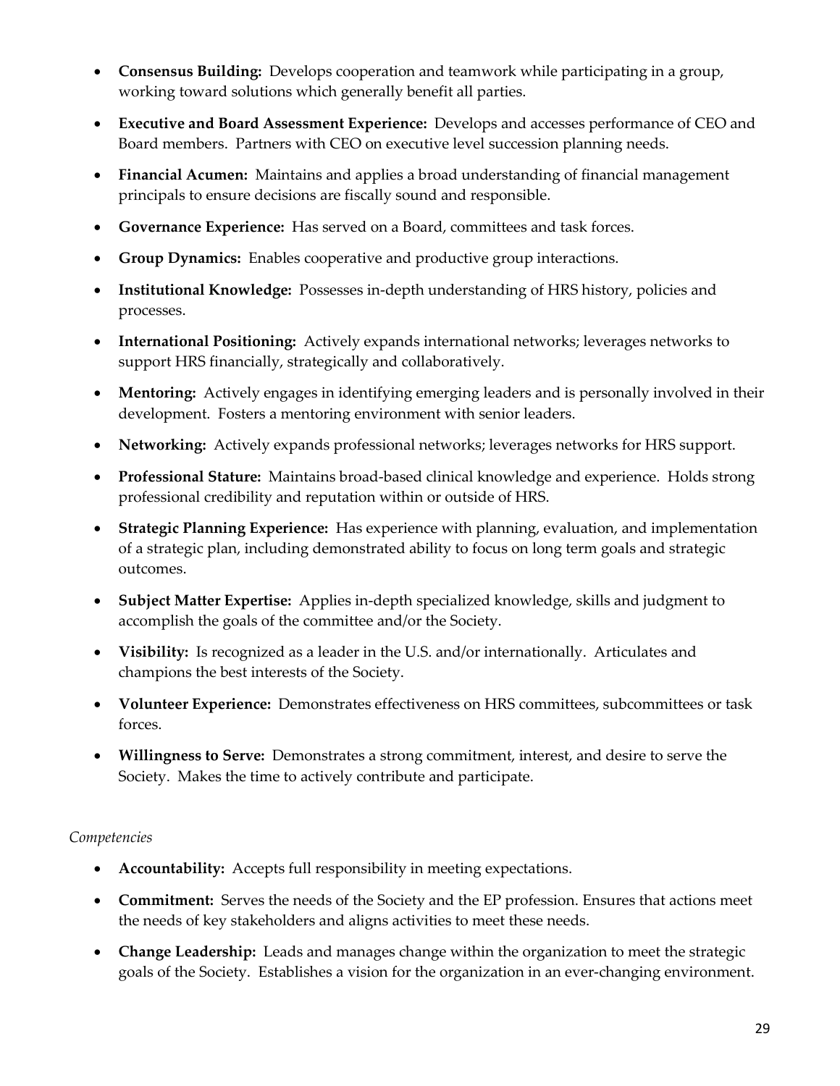- **Consensus Building:** Develops cooperation and teamwork while participating in a group, working toward solutions which generally benefit all parties.
- **Executive and Board Assessment Experience:** Develops and accesses performance of CEO and Board members. Partners with CEO on executive level succession planning needs.
- **Financial Acumen:** Maintains and applies a broad understanding of financial management principals to ensure decisions are fiscally sound and responsible.
- **Governance Experience:** Has served on a Board, committees and task forces.
- **Group Dynamics:** Enables cooperative and productive group interactions.
- **Institutional Knowledge:** Possesses in-depth understanding of HRS history, policies and processes.
- **International Positioning:** Actively expands international networks; leverages networks to support HRS financially, strategically and collaboratively.
- **Mentoring:** Actively engages in identifying emerging leaders and is personally involved in their development. Fosters a mentoring environment with senior leaders.
- **Networking:** Actively expands professional networks; leverages networks for HRS support.
- **Professional Stature:** Maintains broad-based clinical knowledge and experience. Holds strong professional credibility and reputation within or outside of HRS.
- **Strategic Planning Experience:** Has experience with planning, evaluation, and implementation of a strategic plan, including demonstrated ability to focus on long term goals and strategic outcomes.
- **Subject Matter Expertise:** Applies in-depth specialized knowledge, skills and judgment to accomplish the goals of the committee and/or the Society.
- **Visibility:** Is recognized as a leader in the U.S. and/or internationally. Articulates and champions the best interests of the Society.
- **Volunteer Experience:** Demonstrates effectiveness on HRS committees, subcommittees or task forces.
- **Willingness to Serve:** Demonstrates a strong commitment, interest, and desire to serve the Society. Makes the time to actively contribute and participate.

- **Accountability:** Accepts full responsibility in meeting expectations.
- **Commitment:** Serves the needs of the Society and the EP profession. Ensures that actions meet the needs of key stakeholders and aligns activities to meet these needs.
- **Change Leadership:** Leads and manages change within the organization to meet the strategic goals of the Society. Establishes a vision for the organization in an ever-changing environment.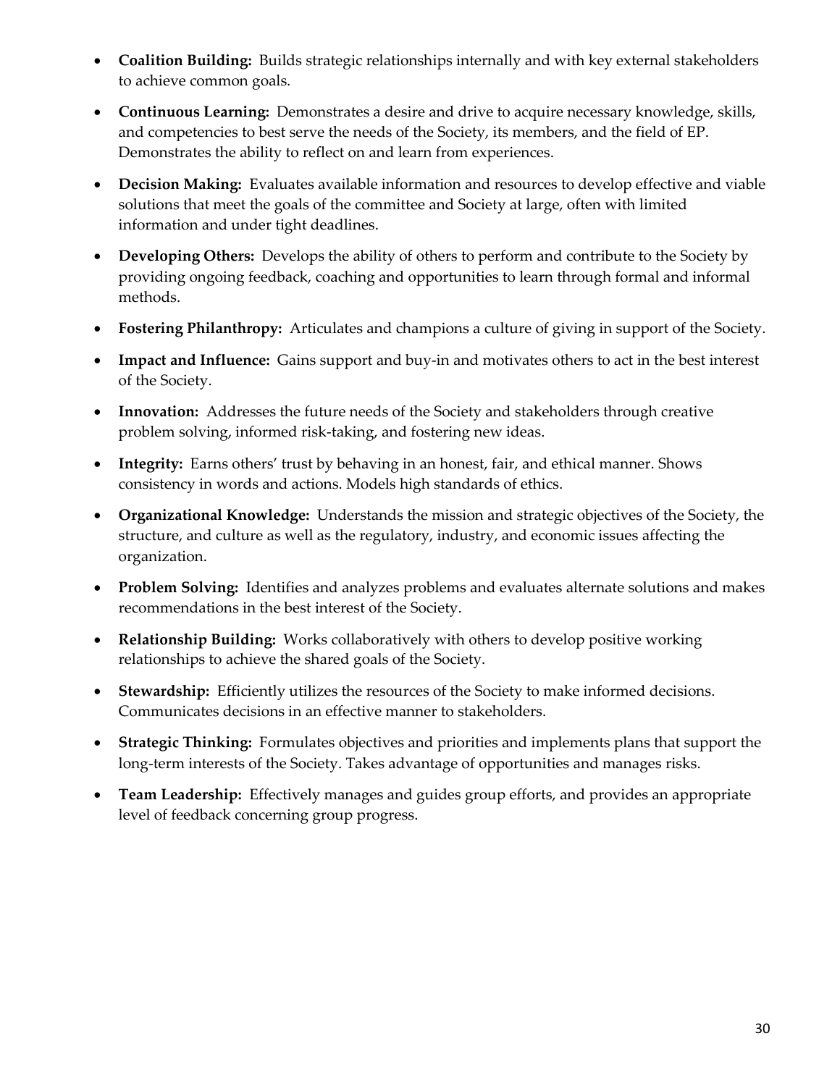- **Coalition Building:** Builds strategic relationships internally and with key external stakeholders to achieve common goals.
- **Continuous Learning:** Demonstrates a desire and drive to acquire necessary knowledge, skills, and competencies to best serve the needs of the Society, its members, and the field of EP. Demonstrates the ability to reflect on and learn from experiences.
- **Decision Making:** Evaluates available information and resources to develop effective and viable solutions that meet the goals of the committee and Society at large, often with limited information and under tight deadlines.
- **Developing Others:** Develops the ability of others to perform and contribute to the Society by providing ongoing feedback, coaching and opportunities to learn through formal and informal methods.
- **Fostering Philanthropy:** Articulates and champions a culture of giving in support of the Society.
- **Impact and Influence:** Gains support and buy-in and motivates others to act in the best interest of the Society.
- **Innovation:** Addresses the future needs of the Society and stakeholders through creative problem solving, informed risk-taking, and fostering new ideas.
- **Integrity:** Earns others' trust by behaving in an honest, fair, and ethical manner. Shows consistency in words and actions. Models high standards of ethics.
- **Organizational Knowledge:** Understands the mission and strategic objectives of the Society, the structure, and culture as well as the regulatory, industry, and economic issues affecting the organization.
- **Problem Solving:** Identifies and analyzes problems and evaluates alternate solutions and makes recommendations in the best interest of the Society.
- **Relationship Building:** Works collaboratively with others to develop positive working relationships to achieve the shared goals of the Society.
- **Stewardship:** Efficiently utilizes the resources of the Society to make informed decisions. Communicates decisions in an effective manner to stakeholders.
- **Strategic Thinking:** Formulates objectives and priorities and implements plans that support the long-term interests of the Society. Takes advantage of opportunities and manages risks.
- **Team Leadership:** Effectively manages and guides group efforts, and provides an appropriate level of feedback concerning group progress.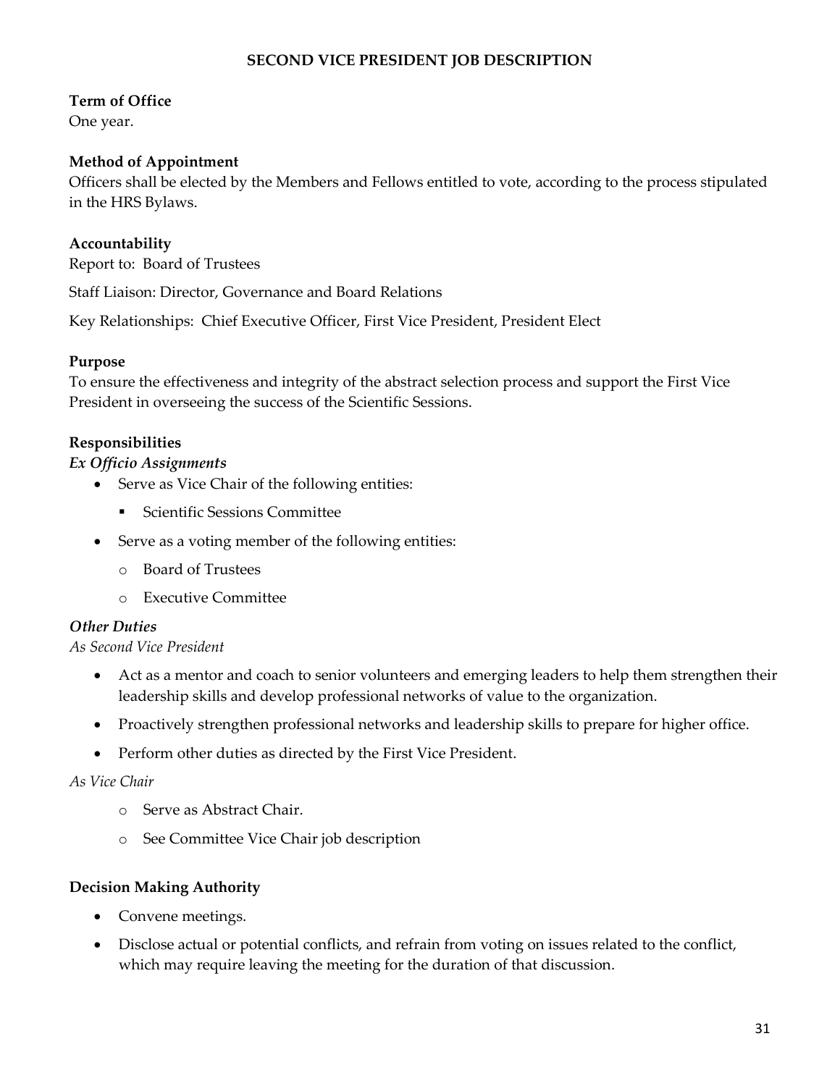## **SECOND VICE PRESIDENT JOB DESCRIPTION**

## **Term of Office**

One year.

# **Method of Appointment**

Officers shall be elected by the Members and Fellows entitled to vote, according to the process stipulated in the HRS Bylaws.

# **Accountability**

Report to: Board of Trustees

Staff Liaison: Director, Governance and Board Relations

Key Relationships: Chief Executive Officer, First Vice President, President Elect

## **Purpose**

To ensure the effectiveness and integrity of the abstract selection process and support the First Vice President in overseeing the success of the Scientific Sessions.

## **Responsibilities**

#### *Ex Officio Assignments*

- Serve as Vice Chair of the following entities:
	- **Scientific Sessions Committee**
- Serve as a voting member of the following entities:
	- o Board of Trustees
	- o Executive Committee

## *Other Duties*

#### *As Second Vice President*

- Act as a mentor and coach to senior volunteers and emerging leaders to help them strengthen their leadership skills and develop professional networks of value to the organization.
- Proactively strengthen professional networks and leadership skills to prepare for higher office.
- Perform other duties as directed by the First Vice President.

#### *As Vice Chair*

- o Serve as Abstract Chair.
- o See Committee Vice Chair job description

#### **Decision Making Authority**

- Convene meetings.
- Disclose actual or potential conflicts, and refrain from voting on issues related to the conflict, which may require leaving the meeting for the duration of that discussion.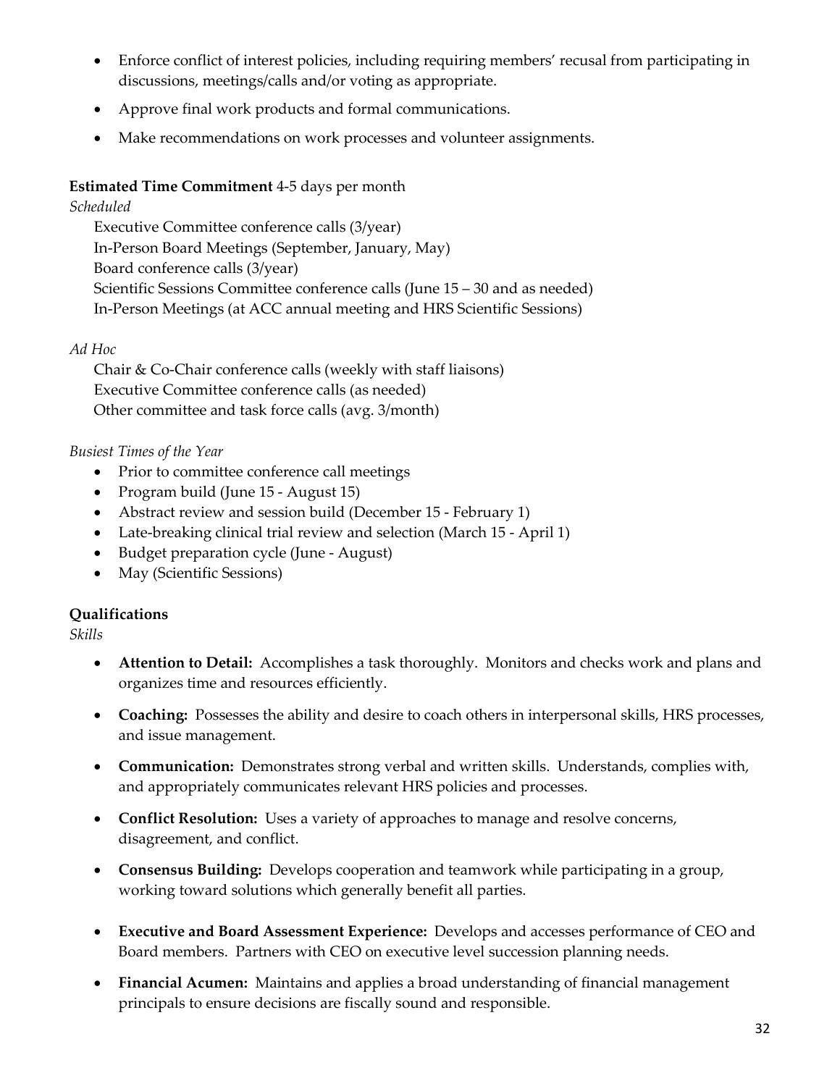- Enforce conflict of interest policies, including requiring members' recusal from participating in discussions, meetings/calls and/or voting as appropriate.
- Approve final work products and formal communications.
- Make recommendations on work processes and volunteer assignments.

# **Estimated Time Commitment** 4-5 days per month

# *Scheduled*

Executive Committee conference calls (3/year) In-Person Board Meetings (September, January, May) Board conference calls (3/year) Scientific Sessions Committee conference calls (June 15 – 30 and as needed) In-Person Meetings (at ACC annual meeting and HRS Scientific Sessions)

# *Ad Hoc*

Chair & Co-Chair conference calls (weekly with staff liaisons) Executive Committee conference calls (as needed) Other committee and task force calls (avg. 3/month)

# *Busiest Times of the Year*

- Prior to committee conference call meetings
- Program build (June 15 August 15)
- Abstract review and session build (December 15 February 1)
- Late-breaking clinical trial review and selection (March 15 April 1)
- Budget preparation cycle (June August)
- May (Scientific Sessions)

# **Qualifications**

*Skills*

- **Attention to Detail:** Accomplishes a task thoroughly. Monitors and checks work and plans and organizes time and resources efficiently.
- **Coaching:** Possesses the ability and desire to coach others in interpersonal skills, HRS processes, and issue management.
- **Communication:** Demonstrates strong verbal and written skills. Understands, complies with, and appropriately communicates relevant HRS policies and processes.
- **Conflict Resolution:** Uses a variety of approaches to manage and resolve concerns, disagreement, and conflict.
- **Consensus Building:** Develops cooperation and teamwork while participating in a group, working toward solutions which generally benefit all parties.
- **Executive and Board Assessment Experience:** Develops and accesses performance of CEO and Board members. Partners with CEO on executive level succession planning needs.
- **Financial Acumen:** Maintains and applies a broad understanding of financial management principals to ensure decisions are fiscally sound and responsible.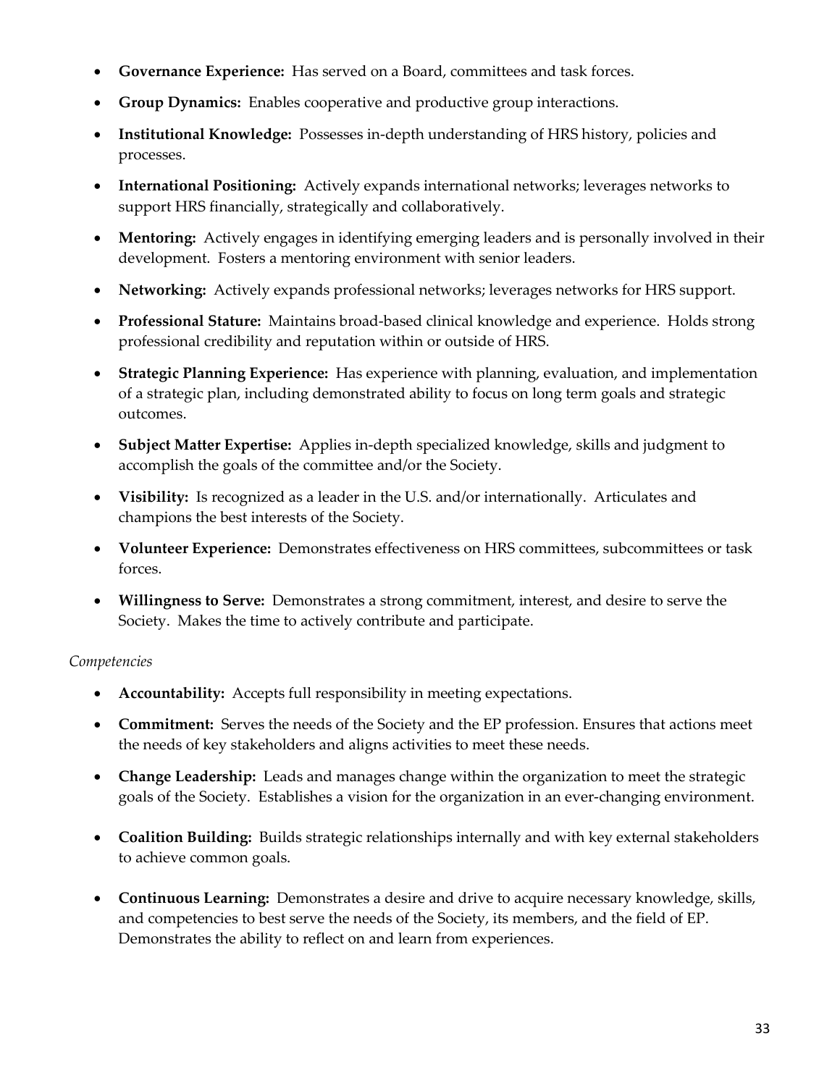- **Governance Experience:** Has served on a Board, committees and task forces.
- **Group Dynamics:** Enables cooperative and productive group interactions.
- **Institutional Knowledge:** Possesses in-depth understanding of HRS history, policies and processes.
- **International Positioning:** Actively expands international networks; leverages networks to support HRS financially, strategically and collaboratively.
- **Mentoring:** Actively engages in identifying emerging leaders and is personally involved in their development. Fosters a mentoring environment with senior leaders.
- **Networking:** Actively expands professional networks; leverages networks for HRS support.
- **Professional Stature:** Maintains broad-based clinical knowledge and experience. Holds strong professional credibility and reputation within or outside of HRS.
- **Strategic Planning Experience:** Has experience with planning, evaluation, and implementation of a strategic plan, including demonstrated ability to focus on long term goals and strategic outcomes.
- **Subject Matter Expertise:** Applies in-depth specialized knowledge, skills and judgment to accomplish the goals of the committee and/or the Society.
- **Visibility:** Is recognized as a leader in the U.S. and/or internationally. Articulates and champions the best interests of the Society.
- **Volunteer Experience:** Demonstrates effectiveness on HRS committees, subcommittees or task forces.
- **Willingness to Serve:** Demonstrates a strong commitment, interest, and desire to serve the Society. Makes the time to actively contribute and participate.

- **Accountability:** Accepts full responsibility in meeting expectations.
- **Commitment:** Serves the needs of the Society and the EP profession. Ensures that actions meet the needs of key stakeholders and aligns activities to meet these needs.
- **Change Leadership:** Leads and manages change within the organization to meet the strategic goals of the Society. Establishes a vision for the organization in an ever-changing environment.
- **Coalition Building:** Builds strategic relationships internally and with key external stakeholders to achieve common goals.
- **Continuous Learning:** Demonstrates a desire and drive to acquire necessary knowledge, skills, and competencies to best serve the needs of the Society, its members, and the field of EP. Demonstrates the ability to reflect on and learn from experiences.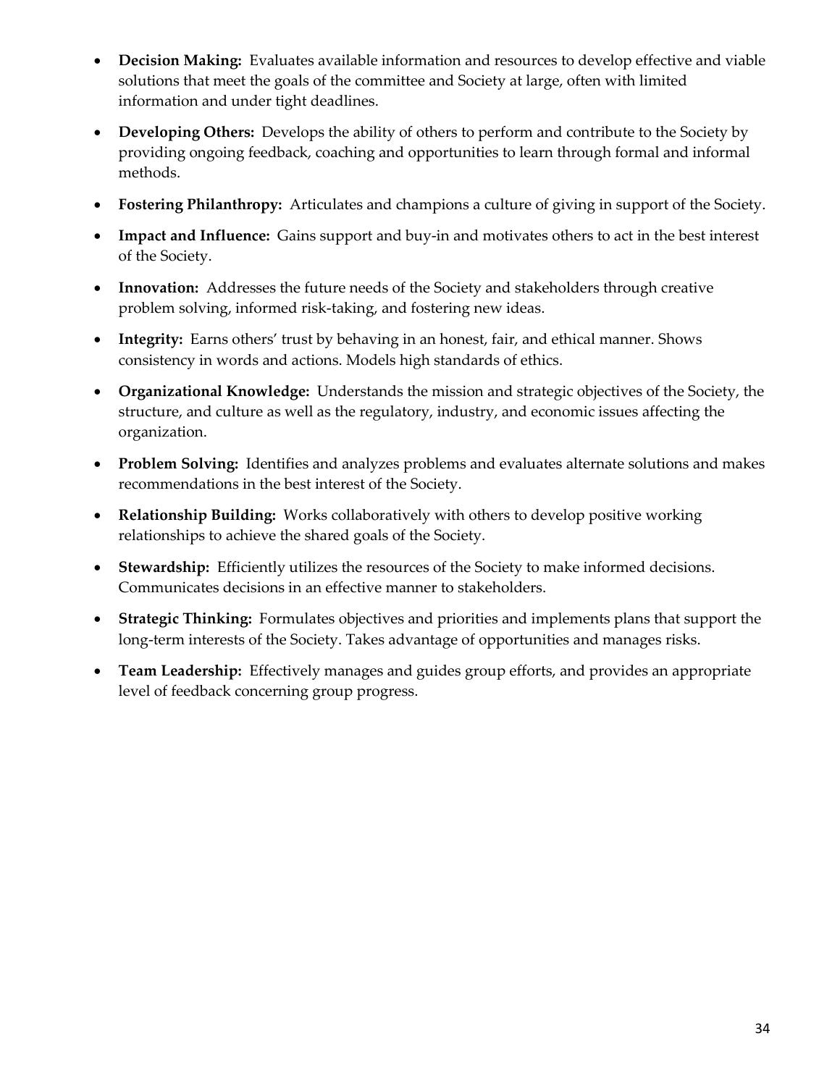- **Decision Making:** Evaluates available information and resources to develop effective and viable solutions that meet the goals of the committee and Society at large, often with limited information and under tight deadlines.
- **Developing Others:** Develops the ability of others to perform and contribute to the Society by providing ongoing feedback, coaching and opportunities to learn through formal and informal methods.
- **Fostering Philanthropy:** Articulates and champions a culture of giving in support of the Society.
- **Impact and Influence:** Gains support and buy-in and motivates others to act in the best interest of the Society.
- **Innovation:** Addresses the future needs of the Society and stakeholders through creative problem solving, informed risk-taking, and fostering new ideas.
- **Integrity:** Earns others' trust by behaving in an honest, fair, and ethical manner. Shows consistency in words and actions. Models high standards of ethics.
- **Organizational Knowledge:** Understands the mission and strategic objectives of the Society, the structure, and culture as well as the regulatory, industry, and economic issues affecting the organization.
- **Problem Solving:** Identifies and analyzes problems and evaluates alternate solutions and makes recommendations in the best interest of the Society.
- **Relationship Building:** Works collaboratively with others to develop positive working relationships to achieve the shared goals of the Society.
- **Stewardship:** Efficiently utilizes the resources of the Society to make informed decisions. Communicates decisions in an effective manner to stakeholders.
- **Strategic Thinking:** Formulates objectives and priorities and implements plans that support the long-term interests of the Society. Takes advantage of opportunities and manages risks.
- **Team Leadership:** Effectively manages and guides group efforts, and provides an appropriate level of feedback concerning group progress.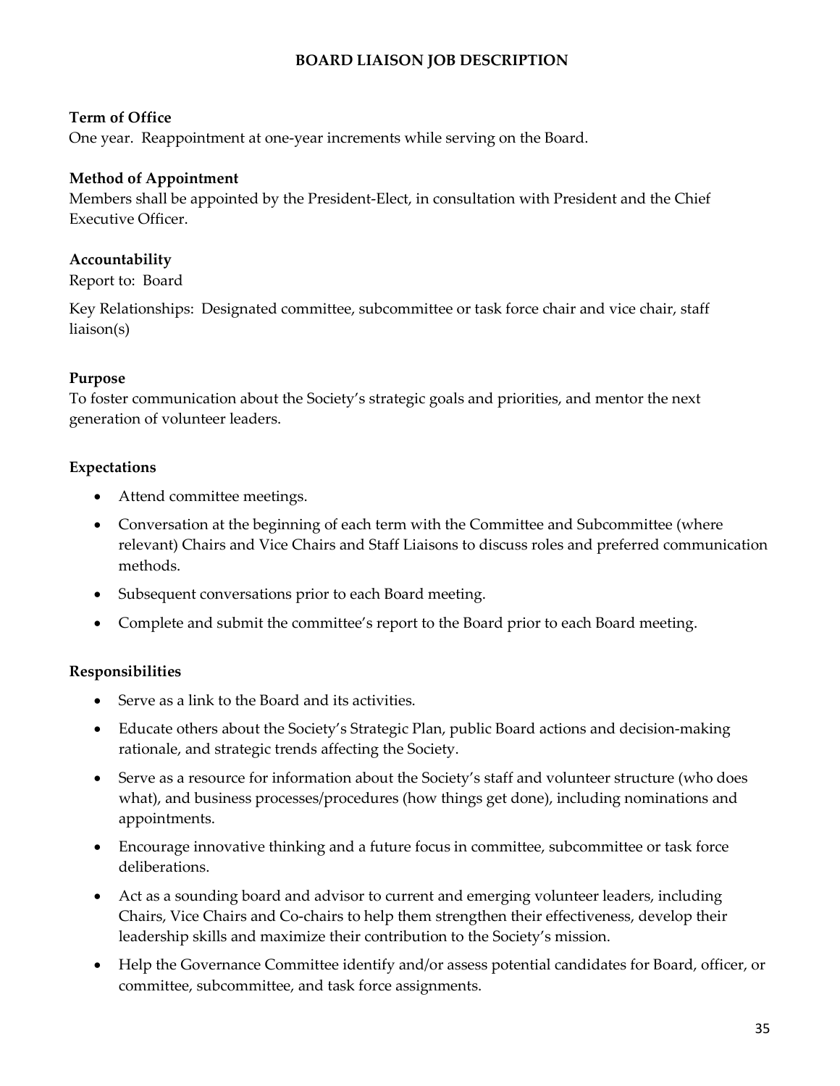# **BOARD LIAISON JOB DESCRIPTION**

#### **Term of Office**

One year. Reappointment at one-year increments while serving on the Board.

#### **Method of Appointment**

Members shall be appointed by the President-Elect, in consultation with President and the Chief Executive Officer.

#### **Accountability**

Report to: Board

Key Relationships: Designated committee, subcommittee or task force chair and vice chair, staff liaison(s)

## **Purpose**

To foster communication about the Society's strategic goals and priorities, and mentor the next generation of volunteer leaders.

#### **Expectations**

- Attend committee meetings.
- Conversation at the beginning of each term with the Committee and Subcommittee (where relevant) Chairs and Vice Chairs and Staff Liaisons to discuss roles and preferred communication methods.
- Subsequent conversations prior to each Board meeting.
- Complete and submit the committee's report to the Board prior to each Board meeting.

## **Responsibilities**

- Serve as a link to the Board and its activities.
- Educate others about the Society's Strategic Plan, public Board actions and decision-making rationale, and strategic trends affecting the Society.
- Serve as a resource for information about the Society's staff and volunteer structure (who does what), and business processes/procedures (how things get done), including nominations and appointments.
- Encourage innovative thinking and a future focus in committee, subcommittee or task force deliberations.
- Act as a sounding board and advisor to current and emerging volunteer leaders, including Chairs, Vice Chairs and Co-chairs to help them strengthen their effectiveness, develop their leadership skills and maximize their contribution to the Society's mission.
- Help the Governance Committee identify and/or assess potential candidates for Board, officer, or committee, subcommittee, and task force assignments.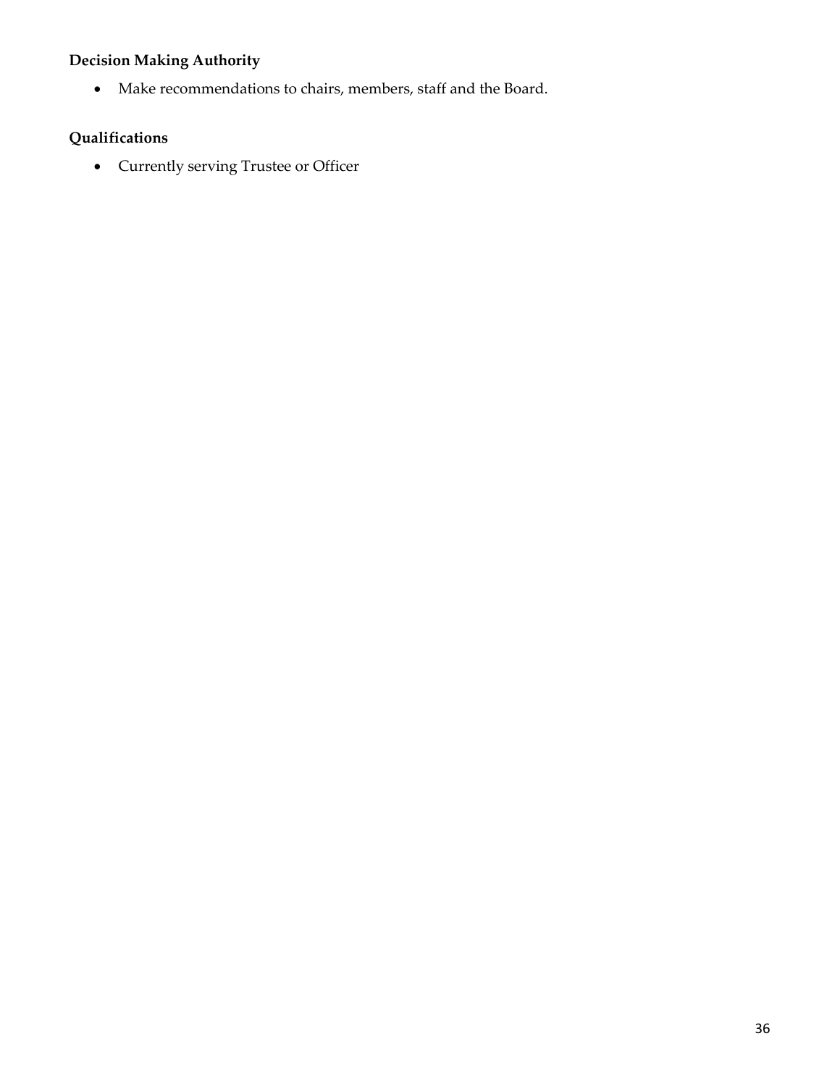# **Decision Making Authority**

• Make recommendations to chairs, members, staff and the Board.

# **Qualifications**

• Currently serving Trustee or Officer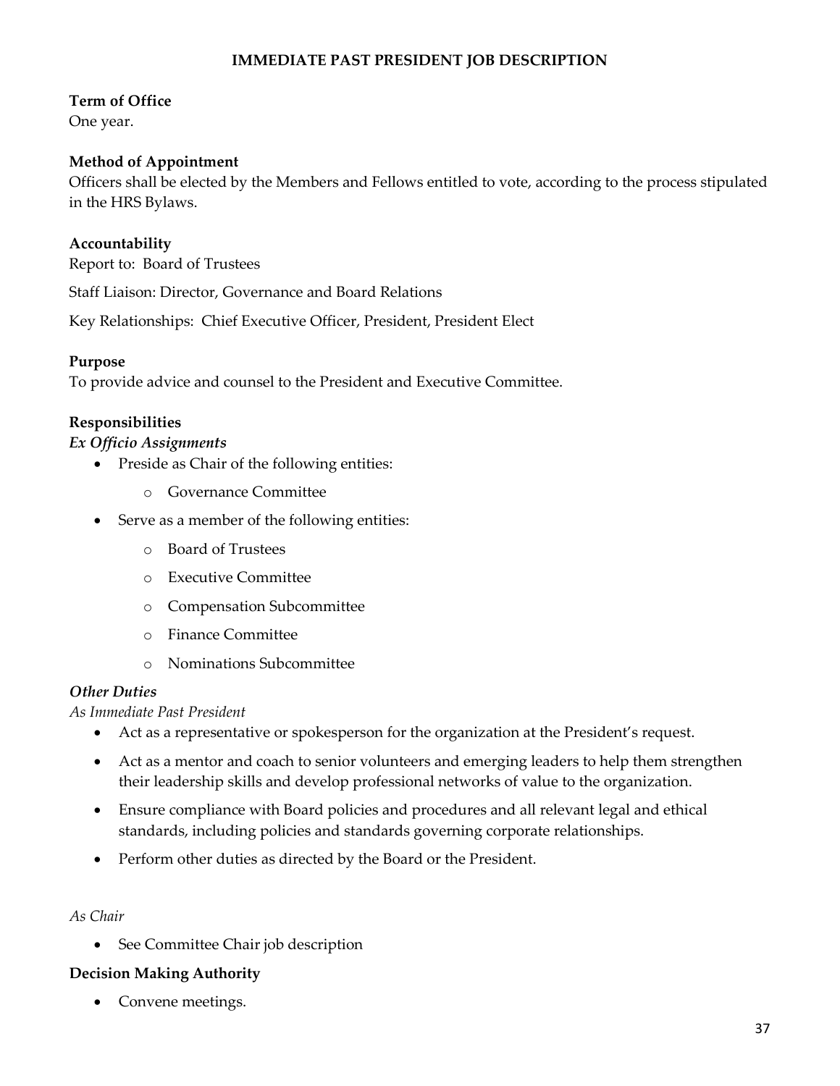# **IMMEDIATE PAST PRESIDENT JOB DESCRIPTION**

#### **Term of Office**

One year.

#### **Method of Appointment**

Officers shall be elected by the Members and Fellows entitled to vote, according to the process stipulated in the HRS Bylaws.

#### **Accountability**

Report to: Board of Trustees

Staff Liaison: Director, Governance and Board Relations

Key Relationships: Chief Executive Officer, President, President Elect

#### **Purpose**

To provide advice and counsel to the President and Executive Committee.

#### **Responsibilities**

#### *Ex Officio Assignments*

- Preside as Chair of the following entities:
	- o Governance Committee
- Serve as a member of the following entities:
	- o Board of Trustees
	- o Executive Committee
	- o Compensation Subcommittee
	- o Finance Committee
	- o Nominations Subcommittee

#### *Other Duties*

*As Immediate Past President*

- Act as a representative or spokesperson for the organization at the President's request.
- Act as a mentor and coach to senior volunteers and emerging leaders to help them strengthen their leadership skills and develop professional networks of value to the organization.
- Ensure compliance with Board policies and procedures and all relevant legal and ethical standards, including policies and standards governing corporate relationships.
- Perform other duties as directed by the Board or the President.

#### *As Chair*

• See Committee Chair job description

#### **Decision Making Authority**

• Convene meetings.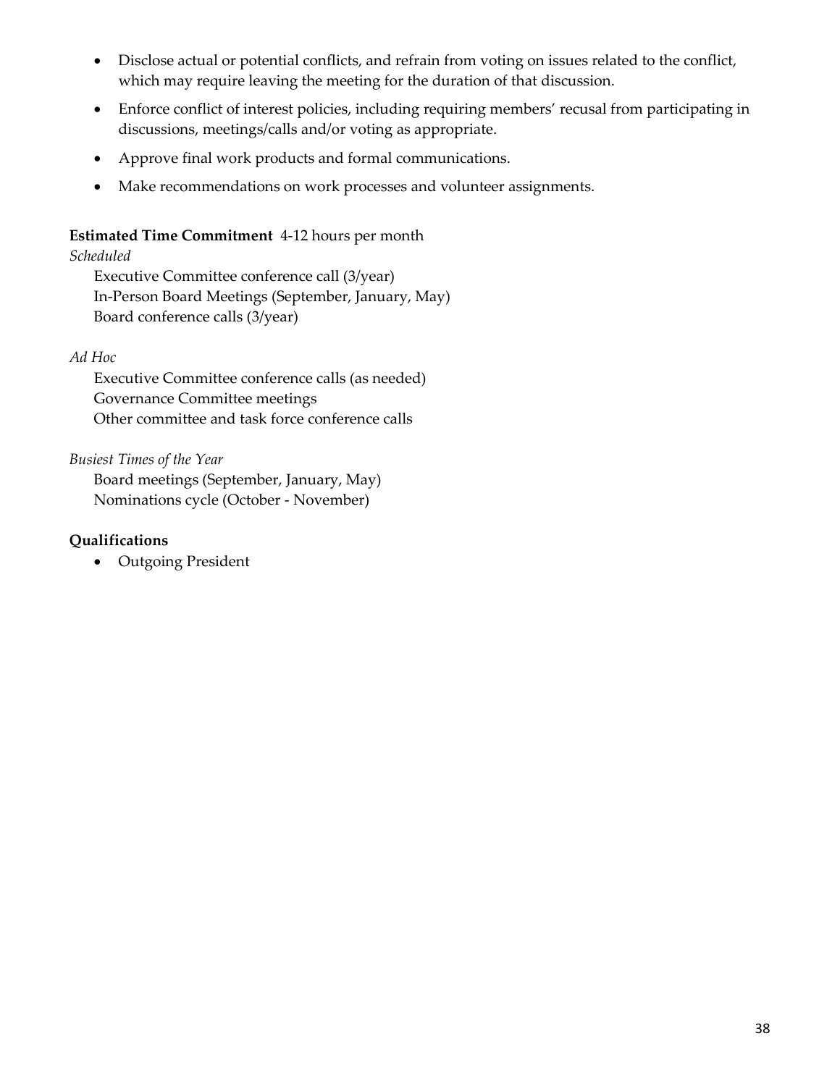- Disclose actual or potential conflicts, and refrain from voting on issues related to the conflict, which may require leaving the meeting for the duration of that discussion.
- Enforce conflict of interest policies, including requiring members' recusal from participating in discussions, meetings/calls and/or voting as appropriate.
- Approve final work products and formal communications.
- Make recommendations on work processes and volunteer assignments.

# **Estimated Time Commitment** 4-12 hours per month

# *Scheduled*

Executive Committee conference call (3/year) In-Person Board Meetings (September, January, May) Board conference calls (3/year)

## *Ad Hoc*

Executive Committee conference calls (as needed) Governance Committee meetings Other committee and task force conference calls

## *Busiest Times of the Year*

Board meetings (September, January, May) Nominations cycle (October - November)

# **Qualifications**

• Outgoing President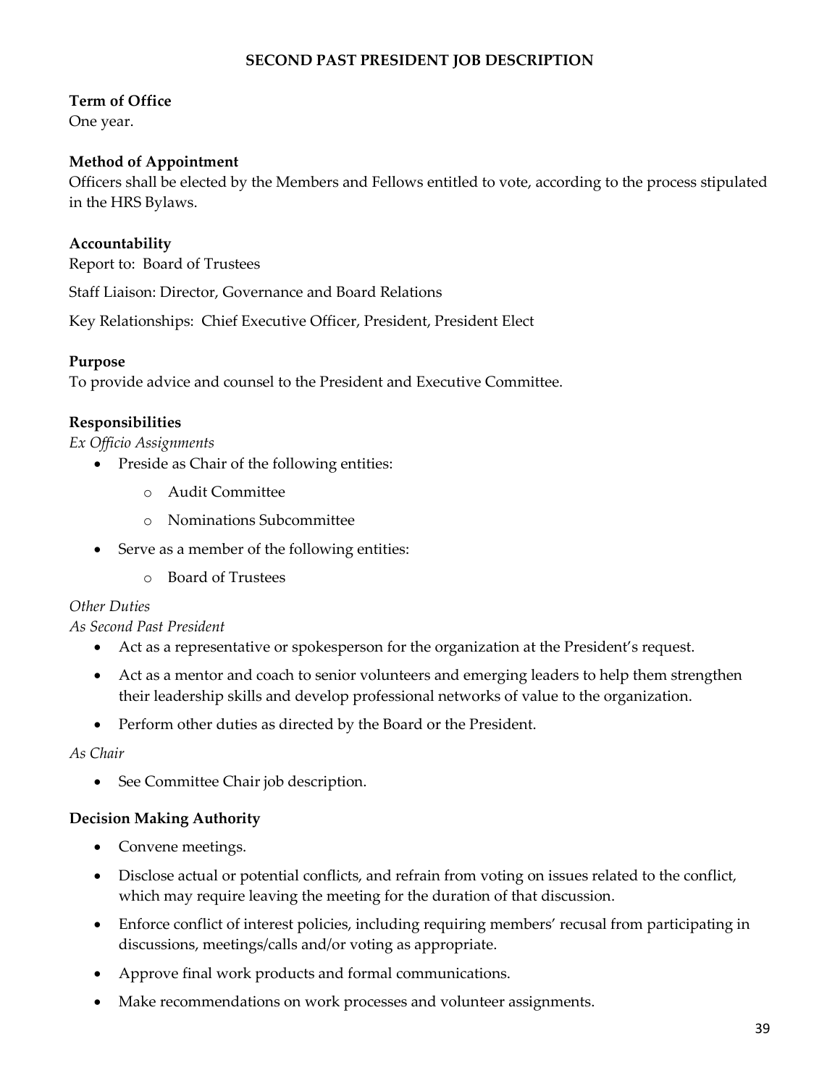## **SECOND PAST PRESIDENT JOB DESCRIPTION**

### **Term of Office**

One year.

#### **Method of Appointment**

Officers shall be elected by the Members and Fellows entitled to vote, according to the process stipulated in the HRS Bylaws.

#### **Accountability**

Report to: Board of Trustees

Staff Liaison: Director, Governance and Board Relations

Key Relationships: Chief Executive Officer, President, President Elect

#### **Purpose**

To provide advice and counsel to the President and Executive Committee.

#### **Responsibilities**

*Ex Officio Assignments*

- Preside as Chair of the following entities:
	- o Audit Committee
	- o Nominations Subcommittee
- Serve as a member of the following entities:
	- o Board of Trustees

## *Other Duties*

*As Second Past President*

- Act as a representative or spokesperson for the organization at the President's request.
- Act as a mentor and coach to senior volunteers and emerging leaders to help them strengthen their leadership skills and develop professional networks of value to the organization.
- Perform other duties as directed by the Board or the President.

#### *As Chair*

• See Committee Chair job description.

#### **Decision Making Authority**

- Convene meetings.
- Disclose actual or potential conflicts, and refrain from voting on issues related to the conflict, which may require leaving the meeting for the duration of that discussion.
- Enforce conflict of interest policies, including requiring members' recusal from participating in discussions, meetings/calls and/or voting as appropriate.
- Approve final work products and formal communications.
- Make recommendations on work processes and volunteer assignments.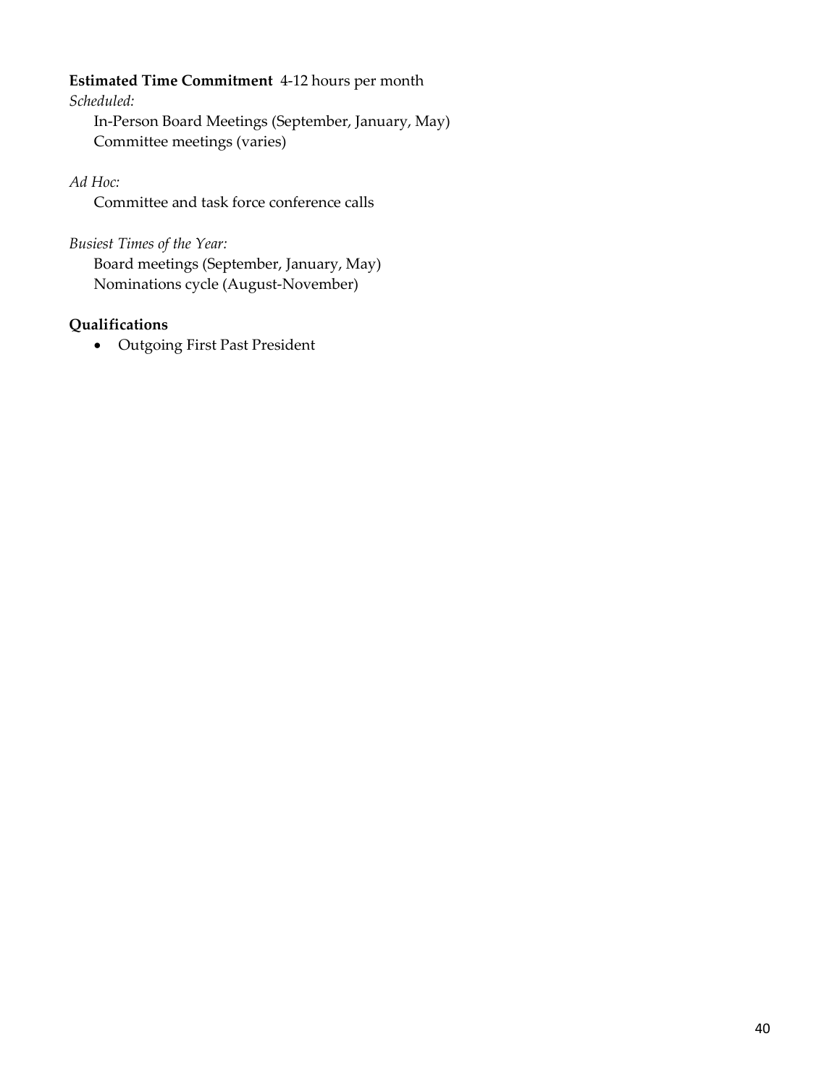#### **Estimated Time Commitment** 4-12 hours per month

*Scheduled:*

In-Person Board Meetings (September, January, May) Committee meetings (varies)

*Ad Hoc:*

Committee and task force conference calls

*Busiest Times of the Year:* Board meetings (September, January, May) Nominations cycle (August-November)

# **Qualifications**

• Outgoing First Past President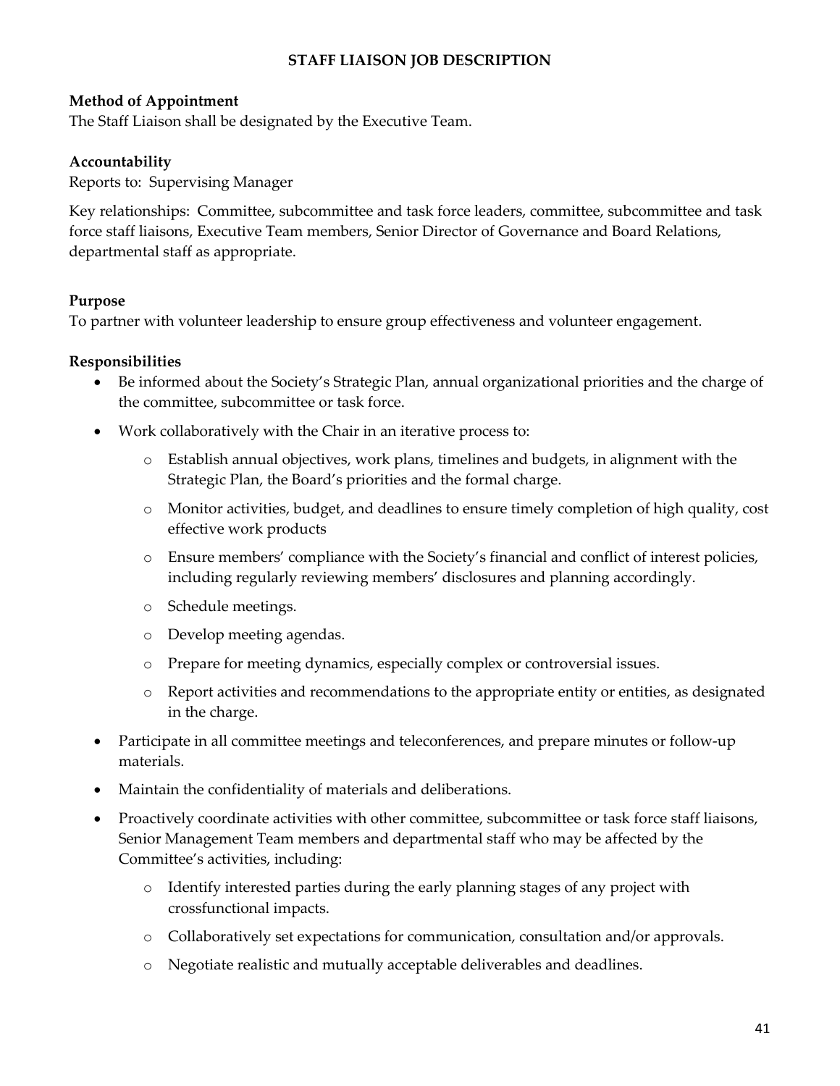## **STAFF LIAISON JOB DESCRIPTION**

#### **Method of Appointment**

The Staff Liaison shall be designated by the Executive Team.

#### **Accountability**

Reports to: Supervising Manager

Key relationships: Committee, subcommittee and task force leaders, committee, subcommittee and task force staff liaisons, Executive Team members, Senior Director of Governance and Board Relations, departmental staff as appropriate.

#### **Purpose**

To partner with volunteer leadership to ensure group effectiveness and volunteer engagement.

#### **Responsibilities**

- Be informed about the Society's Strategic Plan, annual organizational priorities and the charge of the committee, subcommittee or task force.
- Work collaboratively with the Chair in an iterative process to:
	- o Establish annual objectives, work plans, timelines and budgets, in alignment with the Strategic Plan, the Board's priorities and the formal charge.
	- o Monitor activities, budget, and deadlines to ensure timely completion of high quality, cost effective work products
	- o Ensure members' compliance with the Society's financial and conflict of interest policies, including regularly reviewing members' disclosures and planning accordingly.
	- o Schedule meetings.
	- o Develop meeting agendas.
	- o Prepare for meeting dynamics, especially complex or controversial issues.
	- o Report activities and recommendations to the appropriate entity or entities, as designated in the charge.
- Participate in all committee meetings and teleconferences, and prepare minutes or follow-up materials.
- Maintain the confidentiality of materials and deliberations.
- Proactively coordinate activities with other committee, subcommittee or task force staff liaisons, Senior Management Team members and departmental staff who may be affected by the Committee's activities, including:
	- o Identify interested parties during the early planning stages of any project with crossfunctional impacts.
	- o Collaboratively set expectations for communication, consultation and/or approvals.
	- o Negotiate realistic and mutually acceptable deliverables and deadlines.